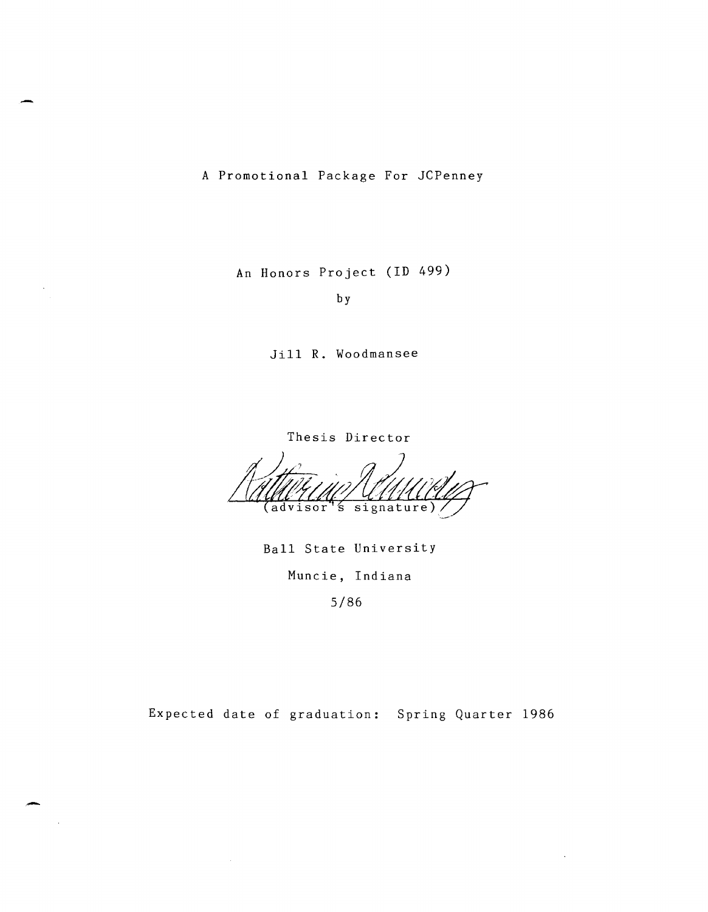A Promotional Package For JCPenney

An Honors Project (ID 499)

by

Jill R. Woodmansee

Thesis Director

(advisor's signature)

Ball State University Muncie, Indiana

5/86

Expected date of graduation: Spring Quarter 1986

-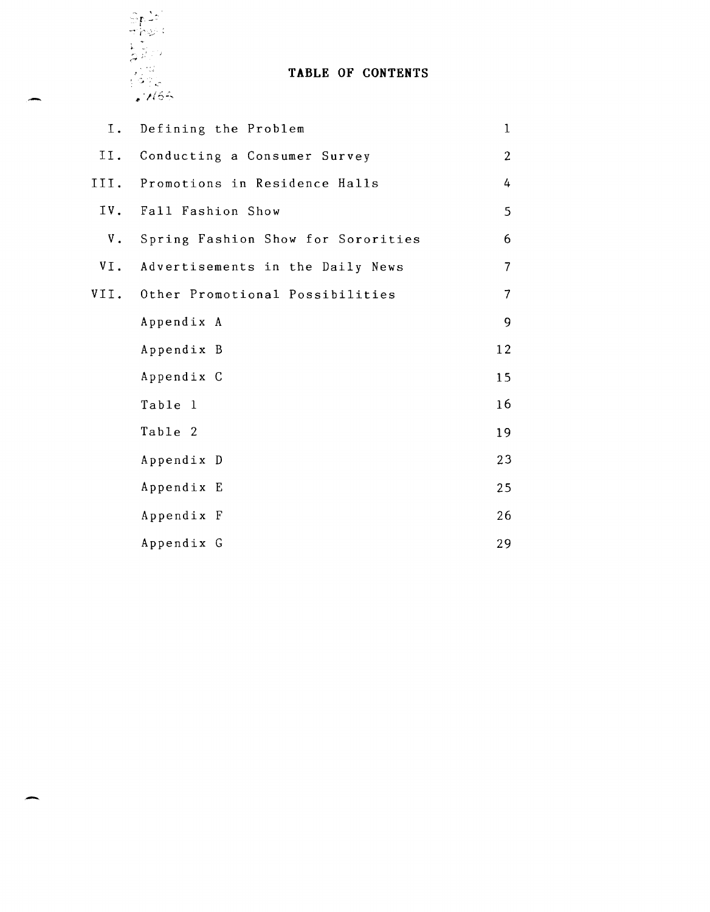

# TABLE OF CONTENTS

| Ι.            | Defining the Problem               | $\mathbf{1}$   |
|---------------|------------------------------------|----------------|
| II.           | Conducting a Consumer Survey       | $\overline{2}$ |
| III.          | Promotions in Residence Halls      | 4              |
|               | IV. Fall Fashion Show              | 5              |
| $V_{\bullet}$ | Spring Fashion Show for Sororities | 6              |
| VI.           | Advertisements in the Daily News   | $\overline{7}$ |
| VII.          | Other Promotional Possibilities    | 7              |
|               | Appendix A                         | 9              |
|               | Appendix B                         | 12             |
|               | Appendix C                         | 15             |
|               | Table 1                            | 16             |
|               | Table 2                            | 19             |
|               | Appendix D                         | 23             |
|               | Appendix E                         | 25             |
|               | Appendix F                         | 26             |
|               | Appendix G                         | 29             |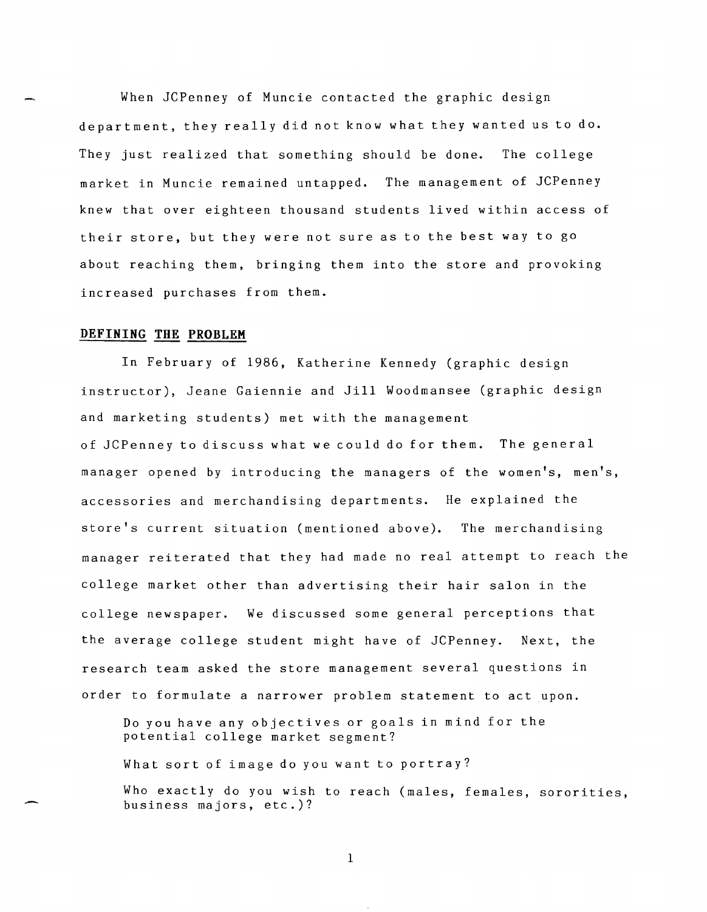When JCPenney of Muncie contacted the graphic design department, they really did not know what they wanted us to do. They just realized that something should be done. The college market in Muncie remained untapped. The management of JCPenney knew that over eighteen thousand students lived within access of their store, but they were not sure as to the best way to go about reaching them, bringing them into the store and provoking increased purchases from them.

#### **DEFINING THE PROBLEM**

-

In February of 1986, Katherine Kennedy (graphic design instructor), Jeane Gaiennie and Jill Woodmansee (graphic design and marketing students) met with the management of JCPenney to discuss what we could do for them. The general manager opened by introducing the managers of the women's, men's, accessories and merchandising departments. He explained the store's current situation (mentioned above). The merchandising manager reiterated that they had made no real attempt to reach the college market other than advertising their hair salon in the college newspaper. We discussed some general perceptions that the average college student might have of JCPenney. Next, the research team asked the store management several questions in order to formulate a narrower problem statement to act upon.

Do you have any objectives or goals in mind for the potential college market segment?

What sort of image do you want to portray?

Who exactly do you wish to reach (males, females, sororities, business majors, etc.)?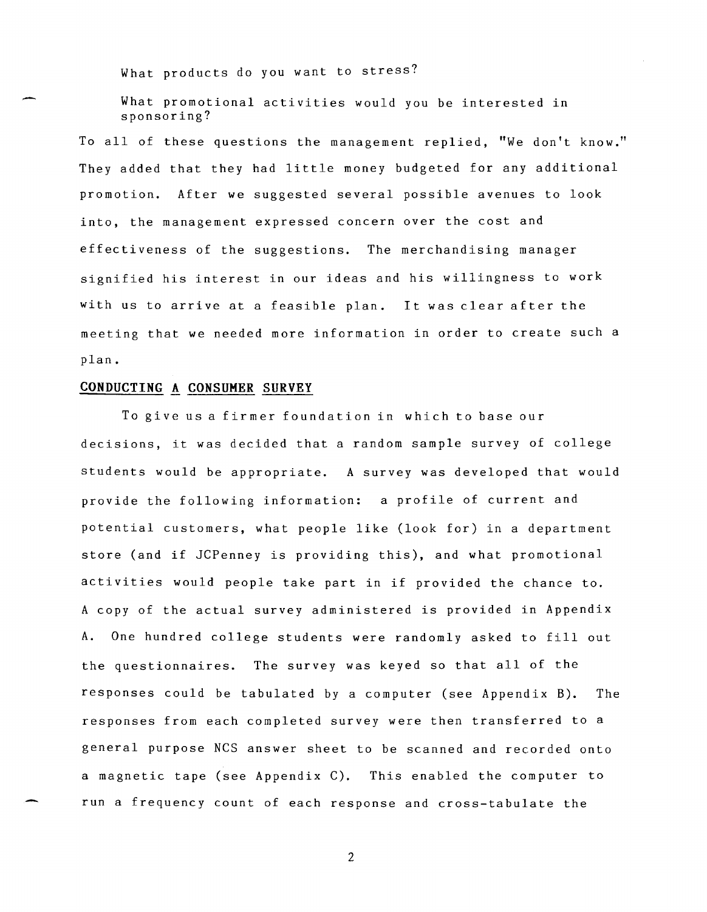What products do you want to stress?

What promotional activities would you be interested in sponsoring?

To all of these questions the management replied, "We don't know." They added that they had little money budgeted for any additional promotion. After we suggested several possible avenues to look into, the management expressed concern over the cost and effectiveness of the suggestions. The merchandising manager signified his interest in our ideas and his willingness to work with us to arrive at a feasible plan. It was clear after the meeting that we needed more information in order to create such a plan.

## **CONDUCTING A CONSUMER SURVEY**

To give us a firmer foundation in which to base our decisions, it was decided that a random sample survey of college students would be appropriate. A survey was developed that would provide the following information: a profile of current and potential customers, what people like (look for) in a department store (and if JCPenney is providing this), and what promotional activities would people take part in if provided the chance to. A copy of the actual survey administered is provided in Appendix A. One hundred college students were randomly asked to fill out the questionnaires. The survey was keyed so that all of the responses could be tabulated by a computer (see Appendix B). The responses from each completed survey were then transferred to a general purpose NCS answer sheet to be scanned and recorded onto a magnetic tape (see Appendix C). This enabled the computer to run a frequency count of each response and cross-tabulate the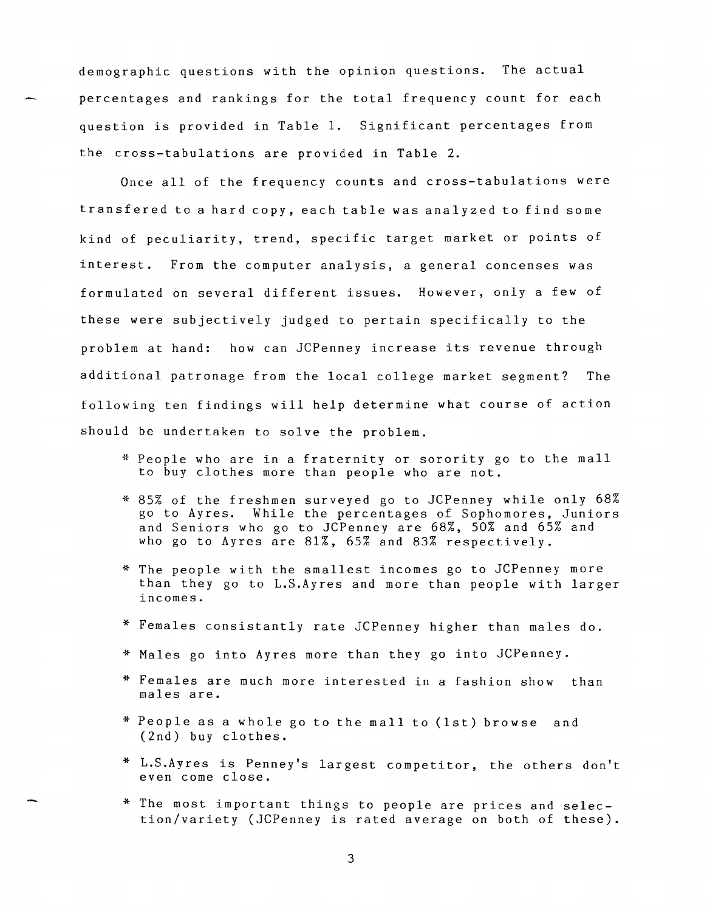demographic questions with the opinion questions. The actual percentages and rankings for the total frequency count for each question is provided in Table 1. Significant percentages from the cross-tabulations are provided in Table 2.

Once all of the frequency counts and cross-tabulations were transfered to a hard copy, each table was analyzed to find some kind of peculiarity, trend, specific target market or points of interest. From the computer analysis, a general concenses was formulated on several different issues. However, only a few of these were subjectively judged to pertain specifically to the problem at hand: how can JCPenney increase its revenue through additional patronage from the local college market segment? The following ten findings will help determine what course of action should be undertaken to solve the problem.

- \* People who are in a fraternity or sorority go to the mall to buy clothes more than people who are not.
- \* 85% of the freshmen surveyed go to JCPenney while only 68% go to Ayres. While the percentages of Sophomores, Juniors and Seniors who go to JCPenney are 68%, 50% and 65% and who go to Ayres are 81%, 65% and 83% respectively.
- \* The people with the smallest incomes go to JCPenney more than they go to L.S.Ayres and more than people with larger incomes.
- \* Females consistantly rate JCPenney higher than males do.
- \* Males go into Ayres more than they go into JCPenney.
- \* Females are much more interested in a fashion show than males are.
- \* People as a whole go to the mall to (1st) browse and (2nd) buy clothes.
- \* L.S.Ayres is Penney's largest competitor, the others don't even come close.
- \* The most important things to people are prices and selection/variety (JCPenney is rated average on both of these).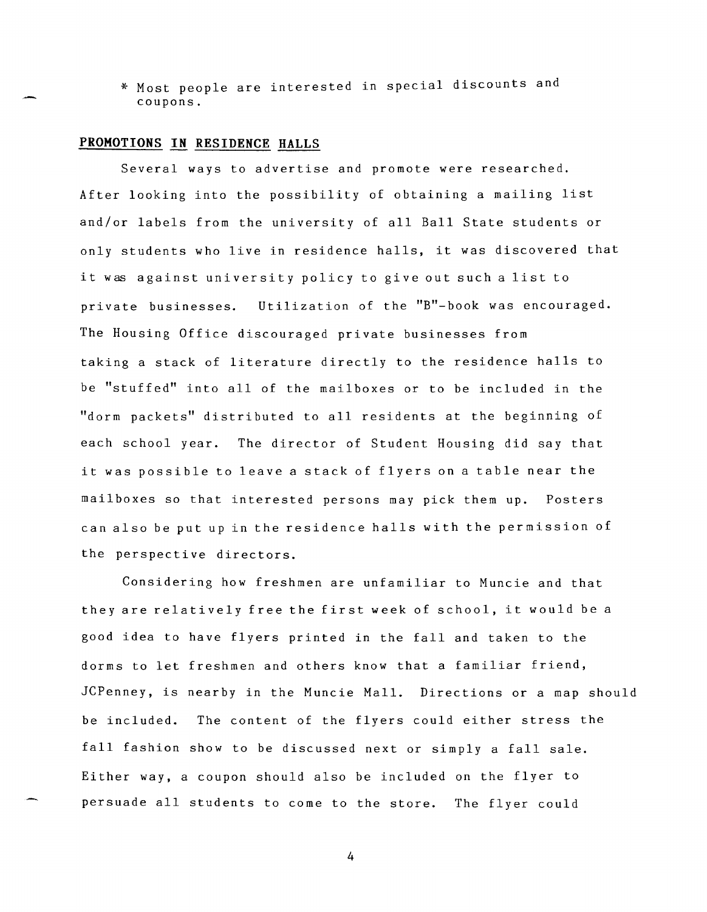\* Most people are interested in special discounts and coupons.

#### **PROMOTIONS IN RESIDENCE HALLS**

Several ways to advertise and promote were researched. After looking into the possibility of obtaining a mailing list and/or labels from the university of all Ball State students or only students who live in residence halls, it was discovered that it was against university policy to give out such a list to private businesses. Utilization of the "B"-book was encouraged. The Housing Office discouraged private businesses from taking a stack of literature directly to the residence halls to be "stuffed" into all of the mailboxes or to be included in the "dorm packets" distributed to all residents at the beginning of each school year. The director of Student Housing did say that it was possible to leave a stack of flyers on a table near the mailboxes so that interested persons may pick them up. Posters can also be put up in the residence halls with the permission of the perspective directors.

Considering how freshmen are unfamiliar to Muncie and that they are relatively free the first week of school, it would be a good idea to have flyers printed in the fall and taken to the dorms to let freshmen and others know that a familiar friend, JCPenney, is nearby in the Muncie Mall. Directions or a map should be included. The content of the flyers could either stress the fall fashion show to be discussed next or simply a fall sale. Either way, a coupon should also be included on the flyer to persuade all students to come to the store. The flyer could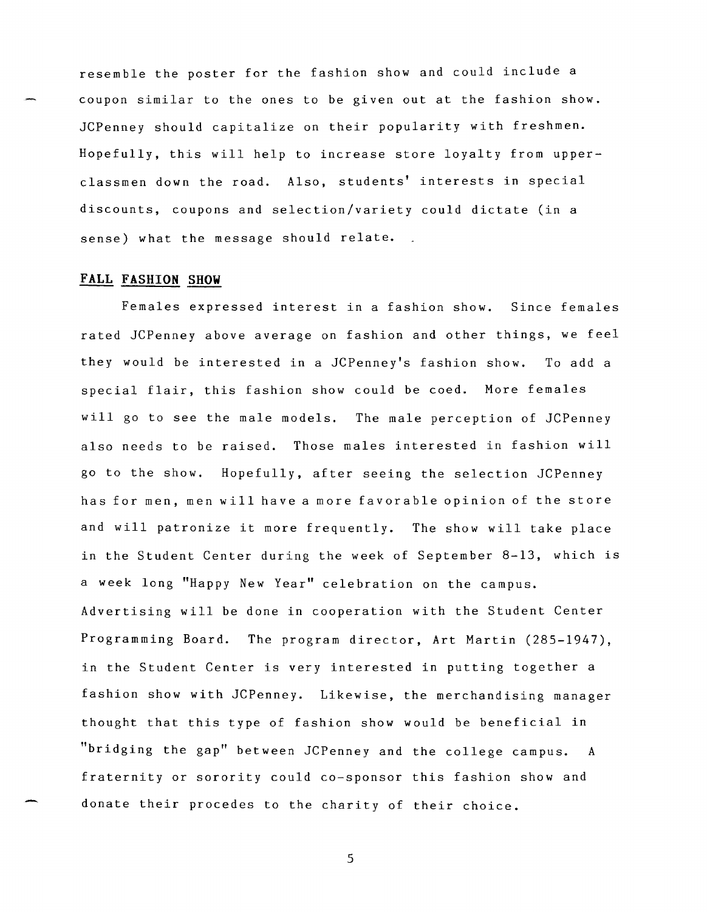resemble the poster for the fashion show and could include a coupon similar to the ones to be given out at the fashion show. JCPenney should capitalize on their popularity with freshmen. Hopefully, this will help to increase store loyalty from upperclassmen down the road. Also, students' interests in special discounts, coupons and selection/variety could dictate (in a sense) what the message should relate.

### **FALL FASHION SHOW**

Females expressed interest in a fashion show. Since females rated JCPenney above average on fashion and other things, we feel they would be interested in a JCPenney's fashion show. To add a special flair, this fashion show could be coed. More females will go to see the male models. The male perception of JCPenney also needs to be raised. Those males interested in fashion will go to the show. Hopefully, after seeing the selection JCPenney has for men, men will have a more favorable opinion of the store and will patronize it more frequently. The show will take place in the Student Center during the week of September 8-13, which is a week long "Happy New Year" celebration on the campus. Advertising will be done in cooperation with the Student Center Programming Board. The program director, Art Martin (285-1947), in the Student Center is very interested in putting together a fashion show with JCPenney. Likewise, the merchandising manager thought that this type of fashion show would be beneficial in "bridging the gap" between JCPenney and the college campus. A fraternity or sorority could co-sponsor this fashion show and donate their procedes to the charity of their choice.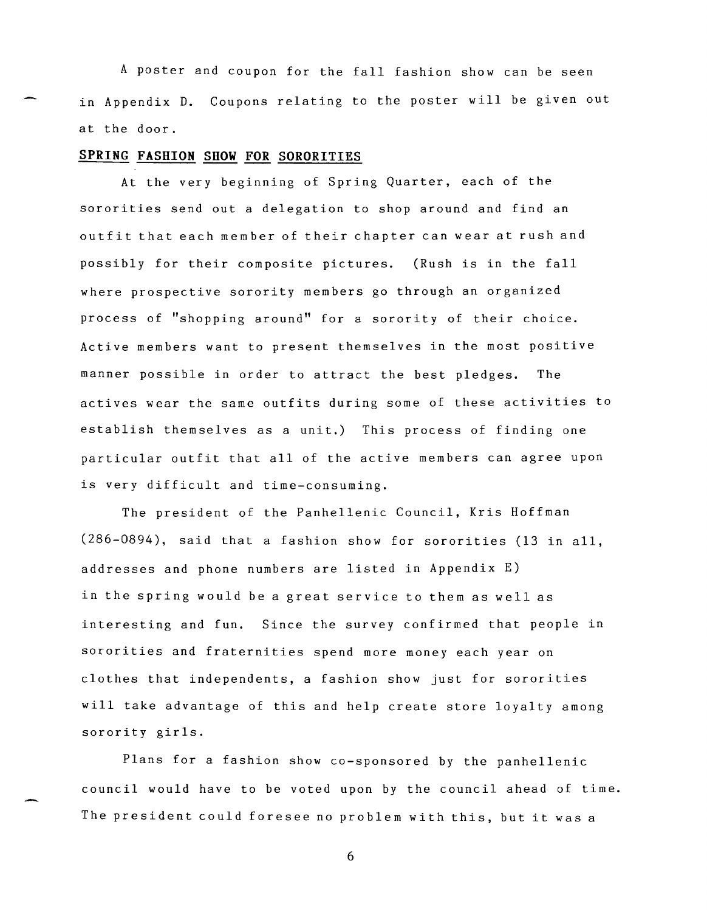A poster and coupon for the fall fashion show can be seen in Appendix D. Coupons relating to the poster will be given out at the door.

### **SPRING FASHION SHOW FOR SORORITIES**

At the very beginning of Spring Quarter, each of the sororities send out a delegation to shop around and find an outfit that each member of their chapter can wear at rush and possibly for their composite pictures. (Rush is in the fall where prospective sorority members go through an organized process of "shopping around" for a sorority of their choice. Active members want to present themselves in the most positive manner possible in order to attract the best pledges. The actives wear the same outfits during some of these activities to establish themselves as a unit.) This process of finding one particular outfit that all of the active members can agree upon is very difficult and time-consuming.

The president of the Panhellenic Council, Kris Hoffman (286-0894), said that a fashion show for sororities (13 in all, addresses and phone numbers are listed in Appendix E) in the spring would be a great service to them as well as interesting and fun. Since the survey confirmed that people in sororities and fraternities spend more money each year on clothes that independents, a fashion show just for sororities will take advantage of this and help create store loyalty among sorority girls.

Plans for a fashion show co-sponsored by the panhellenic council would have to be voted upon by the council ahead of time. The president could foresee no problem with this, but it was a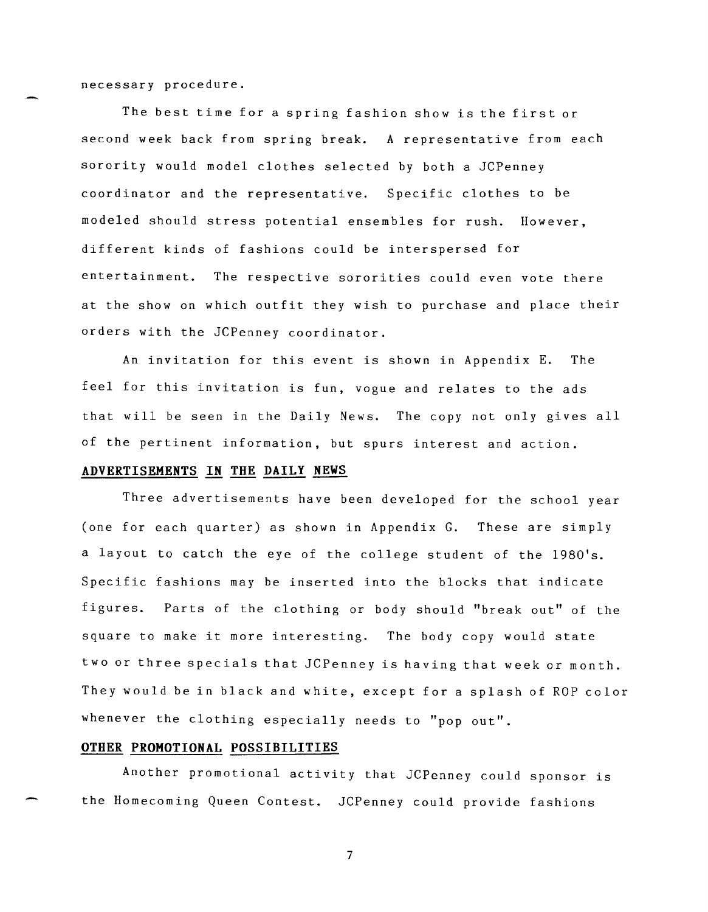necessary procedure.

The best time for a spring fashion show is the first or second week back from spring break. A representative from each sorority would model clothes selected by both a JCPenney coordinator and the representative. Specific clothes to be modeled should stress potential ensembles for rush. However, different kinds of fashions could be interspersed for entertainment. The respective sororities could even vote there at the show on which outfit they wish to purchase and place their orders with the JCPenney coordinator.

An invitation for this event is shown in Appendix E. The feel for this invitation is fun, vogue and relates to the ads that will be seen in the Daily News. The copy not only gives all of the pertinent information, but spurs interest and action.

### **ADVERTISEMENTS IN THE DAILY NEWS**

Three advertisements have been developed for the school year (one for each quarter) as shown in Appendix G. These are simply a layout to catch the eye of the college student of the 1980's. Specific fashions may be inserted into the blocks that indicate figures. Parts of the clothing or body should "break out" of the square to make it more interesting. The body copy would state two or three specials that JCPenney is having that week or month. They would be in black and white, except for a splash of ROP color whenever the clothing especially needs to "pop out".

# **OTHER PROMOTIONAL POSSIBILITIES**

Another promotional activity that JCPenney could sponsor is the Homecoming Queen Contest. JCPenney could provide fashions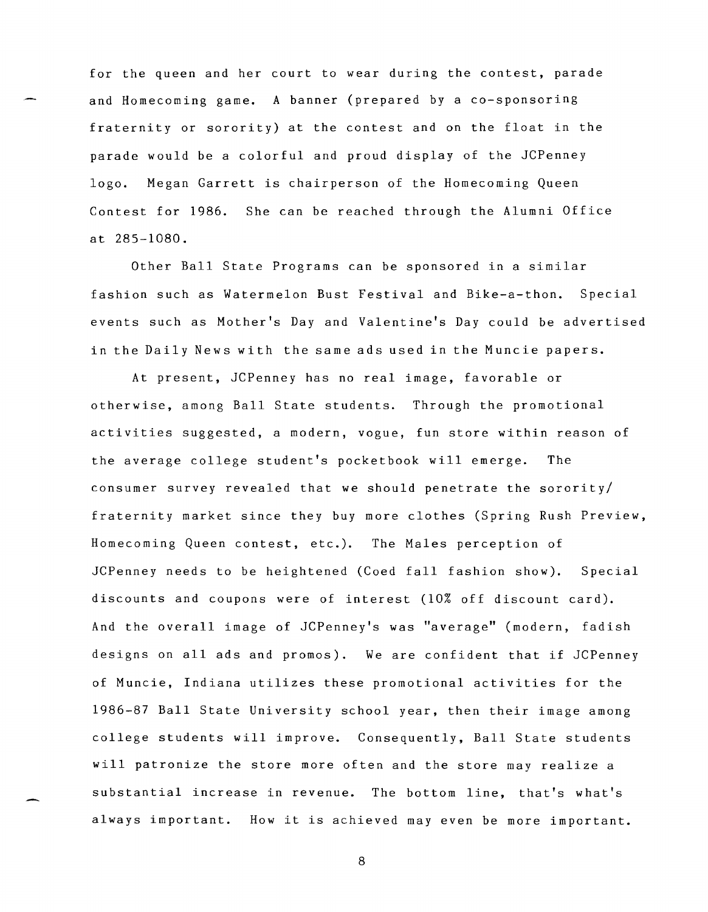for the queen and her court to wear during the contest, parade and Homecoming game. A banner (prepared by a co-sponsoring fraternity or sorority) at the contest and on the float in the parade would be a colorful and proud display of the JCPenney logo. Megan Garrett is chairperson of the Homecoming Queen Contest for 1986. She can be reached through the Alumni Office at 285-1080.

Other Ball State Programs can be sponsored in a similar fashion such as Watermelon Bust Festival and Bike-a-thon. Special events such as Mother's Day and Valentine's Day could be advertised in the Daily News with the same ads used in the Muncie papers.

At present, JCPenney has no real image, favorable or otherwise, among Ball State students. Through the promotional activities suggested, a modern, vogue, fun store within reason of the average college student's pocketbook will emerge. The consumer survey revealed that we should penetrate the sorority/ fraternity market since they buy more clothes (Spring Rush Preview, Homecoming Queen contest, etc.). The Males perception of JCPenney needs to be heightened (Coed fall fashion show). Special discounts and coupons were of interest (10% off discount card). And the overall image of JCPenney's was "average" (modern, fadish designs on all ads and promos). We are confident that if JCPenney of Muncie, Indiana utilizes these promotional activities for the 1986-87 Ball State University school year, then their image among college students will improve. Consequently, Ball State students will patronize the store more often and the store may realize a substantial increase in revenue. The bottom line, that's what's always important. How it is achieved may even be more important.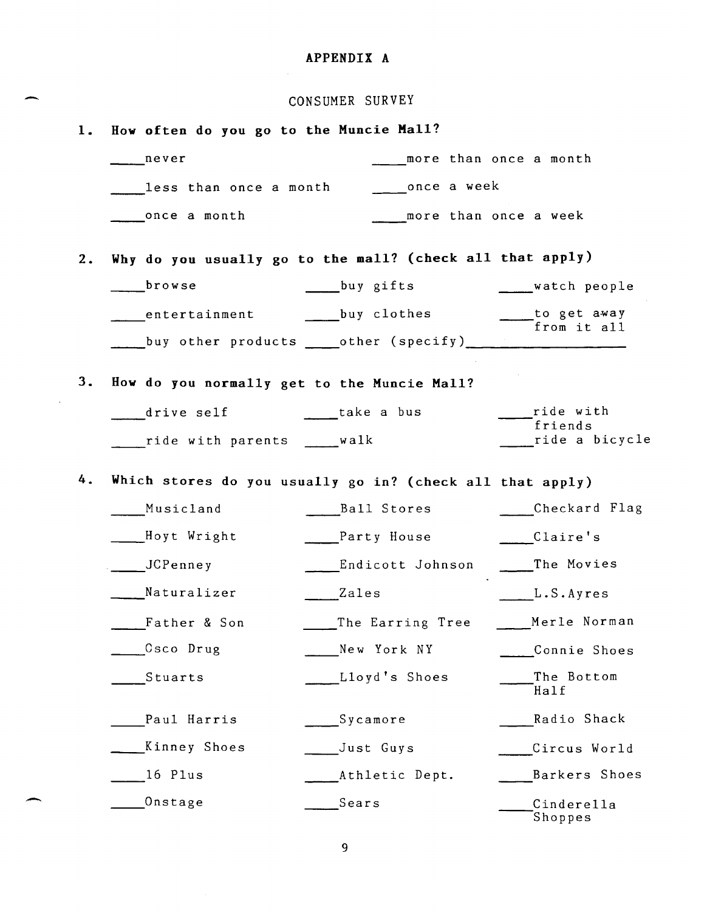# APPENDIX A

-

 $\sim$ 

-

|    | CONSUMER SURVEY                                           |                           |                                                    |  |  |  |  |
|----|-----------------------------------------------------------|---------------------------|----------------------------------------------------|--|--|--|--|
| 1. | How often do you go to the Muncie Mall?                   |                           |                                                    |  |  |  |  |
|    | never                                                     |                           | more than once a month                             |  |  |  |  |
|    | less than once a month                                    | once a week               |                                                    |  |  |  |  |
|    | once a month                                              |                           | more than once a week                              |  |  |  |  |
| 2. | Why do you usually go to the mall? (check all that apply) |                           |                                                    |  |  |  |  |
|    | browse                                                    | buy gifts                 | watch people                                       |  |  |  |  |
|    |                                                           | entertainment buy clothes | to get away<br>from it all                         |  |  |  |  |
|    |                                                           |                           |                                                    |  |  |  |  |
| 3. | How do you normally get to the Muncie Mall?               |                           |                                                    |  |  |  |  |
|    | drive self based take a bus                               |                           | ride with                                          |  |  |  |  |
|    | ride with parents walk                                    |                           | $\overline{\phantom{a}}$ friends<br>ride a bicycle |  |  |  |  |
| 4. | Which stores do you usually go in? (check all that apply) |                           |                                                    |  |  |  |  |
|    | Musicland                                                 | Ball Stores               | Checkard Flag                                      |  |  |  |  |
|    | ___Hoyt Wright                                            | Party House               | Claire's                                           |  |  |  |  |
|    | JCPenney                                                  | Endicott Johnson          | The Movies                                         |  |  |  |  |
|    | Naturalizer                                               | Zales                     | L.S.Ayres                                          |  |  |  |  |
|    | Father & Son                                              | The Earring Tree          | Merle Norman                                       |  |  |  |  |
|    | Osco Drug                                                 | New York NY               | Connie Shoes                                       |  |  |  |  |
|    | Stuarts                                                   | Lloyd's Shoes             | The Bottom<br>Half                                 |  |  |  |  |
|    | Paul Harris                                               | Sycamore                  | Radio Shack                                        |  |  |  |  |
|    | Kinney Shoes                                              | Just Guys                 | Circus World                                       |  |  |  |  |
|    | 16 Plus                                                   | Athletic Dept.            | Barkers Shoes                                      |  |  |  |  |
|    | Onstage                                                   | Sears                     | Cinderella<br>Shoppes                              |  |  |  |  |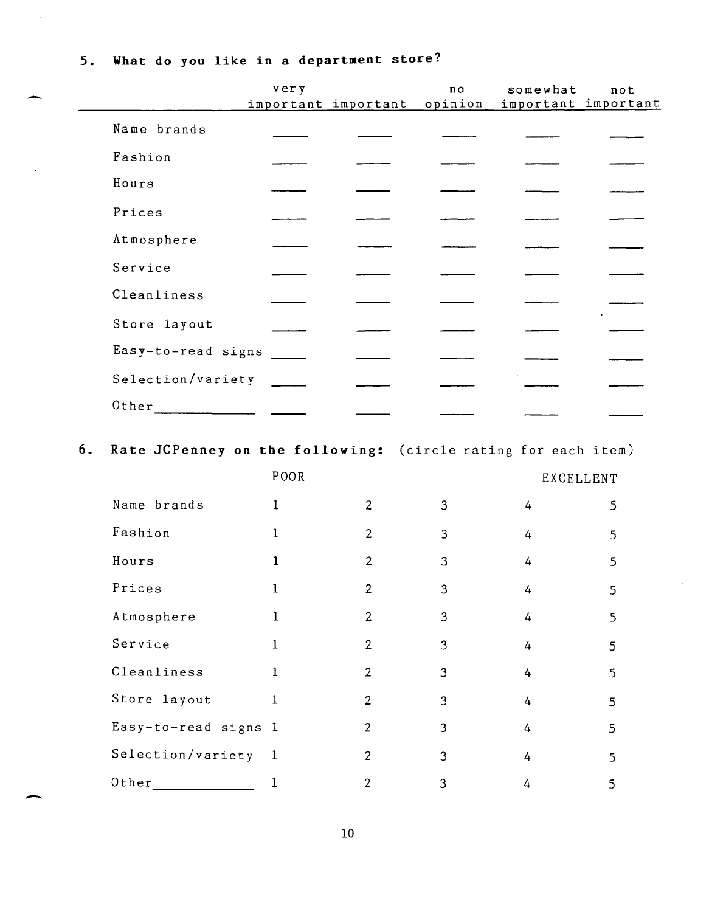5. What do you like in a department store?

|                    | very | important important | no<br>opinion | somewhat<br>important important | not |
|--------------------|------|---------------------|---------------|---------------------------------|-----|
| Name brands        |      |                     |               |                                 |     |
| Fashion            |      |                     |               |                                 |     |
| Hours              |      |                     |               |                                 |     |
| Prices             |      |                     |               |                                 |     |
| Atmosphere         |      |                     |               |                                 |     |
| Service            |      |                     |               |                                 |     |
| Cleanliness        |      |                     |               |                                 |     |
| Store layout       |      |                     |               |                                 |     |
| Easy-to-read signs |      |                     |               |                                 |     |
| Selection/variety  |      |                     |               |                                 |     |
| Other              |      |                     |               |                                 |     |
|                    |      |                     |               |                                 |     |

6. Rate JCPenney on the following: (circle rating for each item)

|                      | POOR         |                |   | <b>EXCELLENT</b> |    |
|----------------------|--------------|----------------|---|------------------|----|
| Name brands          | $\mathbf{I}$ | 2              | 3 | 4                | 5  |
| Fashion              | ı            | $\overline{2}$ | 3 | 4                | 5. |
| Hours                | 1            | $\overline{2}$ | 3 | 4                | 5  |
| Prices               | 1            | $\overline{2}$ | 3 | 4                | 5  |
| Atmosphere           | 1            | 2              | 3 | 4                | 5  |
| Service              | 1            | $\overline{2}$ | 3 | 4                | 5  |
| Cleanliness          | 1            | 2              | 3 | 4                | 5  |
| Store layout         | $\mathbf{1}$ | $\overline{2}$ | 3 | 4                | 5  |
| Easy-to-read signs 1 |              | 2              | 3 | 4                | 5  |
| Selection/variety    | $\mathbf{1}$ | $\overline{2}$ | 3 | 4                | 5  |
| Other                |              | 2              | 3 | 4                | 5  |

-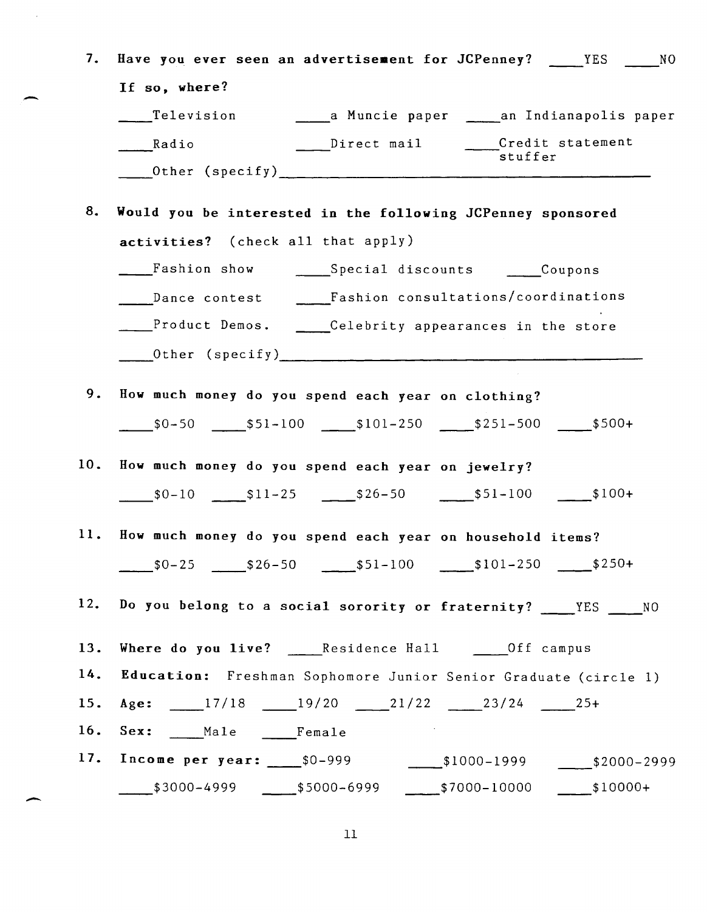| 7.  | Have you ever seen an advertisement for JCPenney? ____ YES ____ NO                                                                                                                                                                                                                                                                     |
|-----|----------------------------------------------------------------------------------------------------------------------------------------------------------------------------------------------------------------------------------------------------------------------------------------------------------------------------------------|
|     | If so, where?                                                                                                                                                                                                                                                                                                                          |
|     |                                                                                                                                                                                                                                                                                                                                        |
|     | Direct mail Credit statement<br>Radio<br>-<br>stuffer                                                                                                                                                                                                                                                                                  |
|     |                                                                                                                                                                                                                                                                                                                                        |
| 8.  | Would you be interested in the following JCPenney sponsored                                                                                                                                                                                                                                                                            |
|     | activities? (check all that apply)                                                                                                                                                                                                                                                                                                     |
|     | Fashion show ______Special discounts ______Coupons                                                                                                                                                                                                                                                                                     |
|     | Dance contest ______Fashion consultations/coordinations                                                                                                                                                                                                                                                                                |
|     | Product Demos. Celebrity appearances in the store                                                                                                                                                                                                                                                                                      |
|     | Other (specify) $\qquad \qquad$ $\qquad \qquad$ $\qquad$ $\qquad$ $\qquad$ $\qquad$ $\qquad$ $\qquad$ $\qquad$ $\qquad$ $\qquad$ $\qquad$ $\qquad$ $\qquad$ $\qquad$ $\qquad$ $\qquad$ $\qquad$ $\qquad$ $\qquad$ $\qquad$ $\qquad$ $\qquad$ $\qquad$ $\qquad$ $\qquad$ $\qquad$ $\qquad$ $\qquad$ $\qquad$ $\qquad$ $\qquad$ $\qquad$ |
| 9.  |                                                                                                                                                                                                                                                                                                                                        |
|     | How much money do you spend each year on clothing?                                                                                                                                                                                                                                                                                     |
|     |                                                                                                                                                                                                                                                                                                                                        |
| 10. | How much money do you spend each year on jewelry?                                                                                                                                                                                                                                                                                      |
|     | $$0-10$ $$11-25$ $$26-50$ $$51-100$ $$100+$                                                                                                                                                                                                                                                                                            |
|     |                                                                                                                                                                                                                                                                                                                                        |
|     | 11. How much money do you spend each year on household items?                                                                                                                                                                                                                                                                          |
|     | $$0-25$ $$26-50$ $$51-100$ $$101-250$ $$250+$                                                                                                                                                                                                                                                                                          |
| 12. | Do you belong to a social sorority or fraternity? ____YES ____NO                                                                                                                                                                                                                                                                       |
| 13. | Where do you live? ______Residence Hall ______Off campus                                                                                                                                                                                                                                                                               |
| 14. | Education: Freshman Sophomore Junior Senior Graduate (circle 1)                                                                                                                                                                                                                                                                        |
| 15. | Age: 17/18 19/20 21/22 23/24 25+                                                                                                                                                                                                                                                                                                       |
|     | 16. Sex: Male Female                                                                                                                                                                                                                                                                                                                   |
|     | 17. Income per year: 50-999 51000-1999 52000-2999                                                                                                                                                                                                                                                                                      |
|     | $$3000-4999$ $$5000-6999$ $$7000-10000$ $$10000+$                                                                                                                                                                                                                                                                                      |
|     |                                                                                                                                                                                                                                                                                                                                        |

-

 $\bar{\beta}$ 

-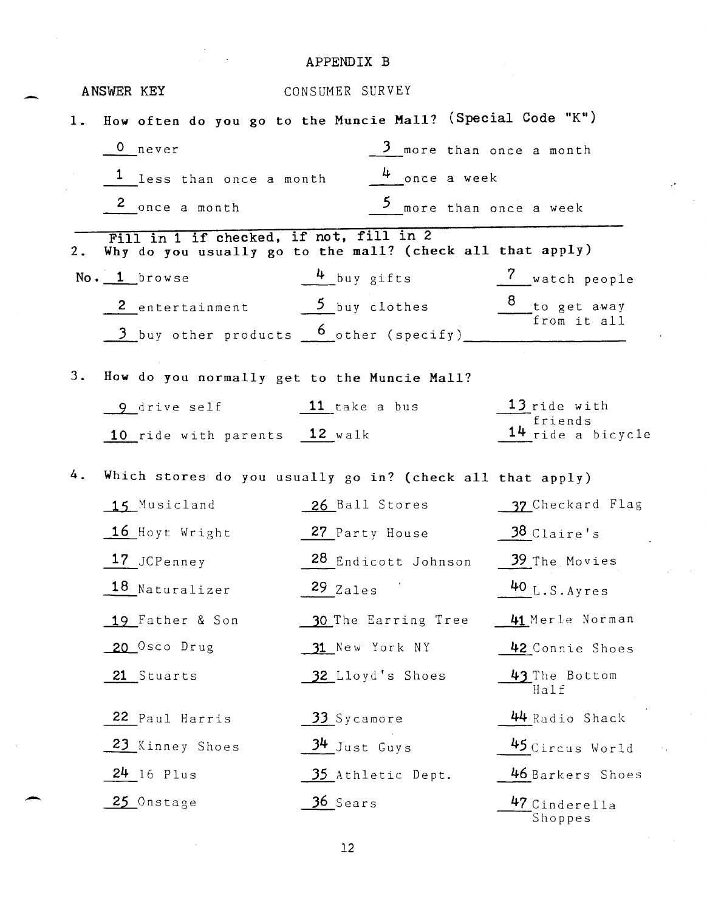# APPENDIX B

-

-

|    | ANSWER KEY                                                 | CONSUMER SURVEY                                           |                                |
|----|------------------------------------------------------------|-----------------------------------------------------------|--------------------------------|
| 1. | How often do you go to the Muncie Mall? (Special Code "K") |                                                           |                                |
|    | 0 never                                                    | 3 more than once a month                                  |                                |
|    | <sup>1</sup> less than once a month                        | $4$ once a week                                           |                                |
|    | 2 once a month                                             | 5 more than once a week                                   |                                |
| 2. | Fill in 1 if checked, if not, fill in 2                    | Why do you usually go to the mall? (check all that apply) |                                |
|    | $No.$ 1 browse                                             | $4$ buy gifts                                             | Vatch people                   |
|    |                                                            | 2 entertainment 5 buy clothes 3 to get away               |                                |
|    |                                                            | 1 buy other products 6 other (specify)                    |                                |
| 3. | How do you normally get to the Muncie Mall?                |                                                           |                                |
|    | 9 drive self 11 take a bus                                 |                                                           | 13 ride with                   |
|    | 10 ride with parents 12 walk                               |                                                           | friends<br>$14$ ride a bicycle |
| 4. |                                                            | Which stores do you usually go in? (check all that apply) |                                |
|    | 15 Musicland                                               | 26 Ball Stores                                            | 37 Checkard Flag               |
|    | 16 Hoyt Wright                                             | 27 Party House 38 Claire's                                |                                |
|    | 17 JCPenney                                                | 28 Endicott Johnson 39 The Movies                         |                                |
|    | 18 Naturalizer                                             | $\frac{29}{2}$ Zales                                      | $40$ L.S. Ayres                |
|    | 19 Father & Son                                            | 30 The Earring Tree                                       | 41 Merle Norman                |
|    | 20 Osco Drug                                               | 31 New York NY                                            | 42 Connie Shoes                |
|    | 21 Stuarts                                                 | 32 Lloyd's Shoes                                          | 43 The Bottom<br>Half          |
|    | 22 Paul Harris                                             | 33 Sycamore                                               | 44 Radio Shack                 |
|    | 23 Kinney Shoes                                            | 34 Just Guys                                              | 45 Circus World                |
|    | $24$ 16 Plus                                               | 35 Athletic Dept.                                         | 46 Barkers Shoes               |
|    | 25 Onstage                                                 | 36 Sears                                                  | 47 Cinderella<br>Shoppes       |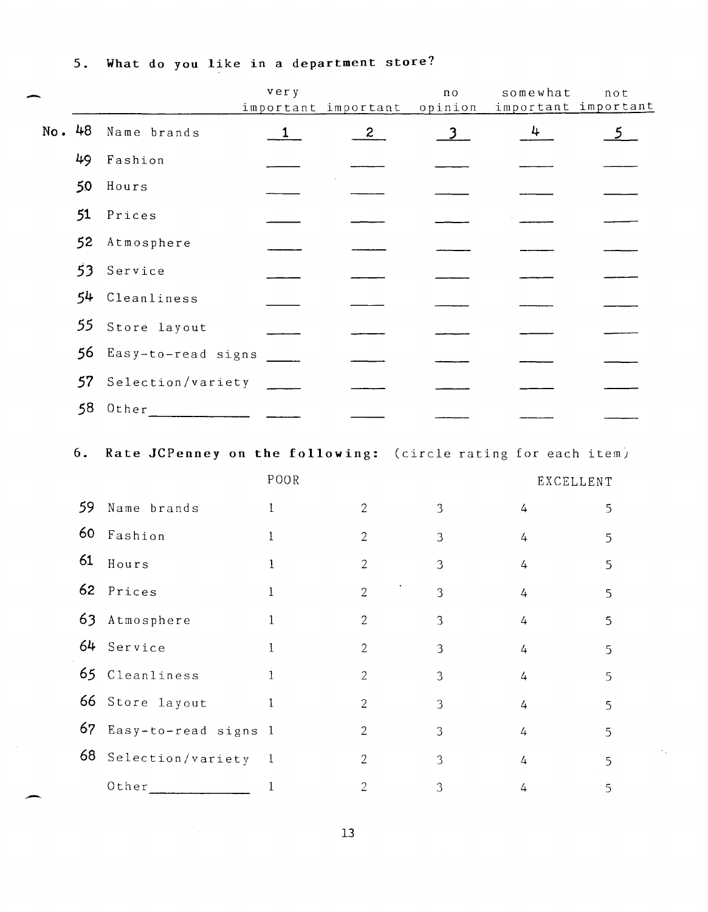|        |    |                                                               | very<br>important important |                | n o<br>opinion | somewhat       | not<br>important important |
|--------|----|---------------------------------------------------------------|-----------------------------|----------------|----------------|----------------|----------------------------|
| No. 48 |    | Name brands                                                   | 1                           | $\mathbf{2}$   | 3              | 4              | 5 <sup>1</sup>             |
|        | 49 | Fashion                                                       |                             |                |                |                |                            |
|        | 50 | Hours                                                         |                             |                |                |                |                            |
|        | 51 | Prices                                                        |                             |                |                |                |                            |
|        | 52 | Atmosphere                                                    |                             |                |                |                |                            |
|        | 53 | Service                                                       |                             |                |                |                |                            |
|        | 54 | Cleanliness                                                   |                             |                |                |                |                            |
|        | 55 | Store layout                                                  |                             |                |                |                |                            |
|        | 56 | Easy-to-read signs                                            |                             |                |                |                |                            |
|        | 57 | Selection/variety                                             |                             |                |                |                |                            |
|        | 58 |                                                               |                             |                |                |                |                            |
|        | 6. | Rate JCPenney on the following: (circle rating for each item) | POOR                        |                |                |                | EXCELLENT                  |
|        | 59 | Name brands                                                   | $\mathbf{I}$                | 2              | 3              | 4              | 5                          |
|        | 60 | Fashion                                                       | $\mathbf{I}$                | 2              | 3              | 4              | 5                          |
|        | 61 | Hours                                                         | 1                           | 2              | 3              | 4              | 5                          |
|        | 62 | Prices                                                        |                             | $\overline{c}$ | 3              | 4              | 5.                         |
|        | 63 | Atmosphere                                                    | $\mathbf{1}$                | $\overline{2}$ | 3              | 4              | 5                          |
|        |    | 64 Service                                                    | $\mathbf{I}$                | $\overline{2}$ | 3              | $\overline{4}$ | 5                          |
|        |    | 65 Cleanliness                                                | $\mathbf{1}$                | $\sqrt{2}$     | 3              | $\overline{4}$ | 5                          |
|        |    | 66 Store layout                                               | $\mathbf{1}$                | $\overline{2}$ | 3              | $\overline{4}$ | 5                          |
|        |    | 67 Easy-to-read signs 1                                       |                             | $\mathbf{2}$   | 3              | $\overline{4}$ | 5                          |
|        |    | 68 Selection/variety 1                                        |                             | $\overline{2}$ | 3              | $\overline{4}$ | 5                          |
|        |    | Other                                                         | $\mathbf 1$                 | $\sqrt{2}$     | 3              | $\overline{4}$ | 5                          |
|        |    |                                                               |                             |                |                |                |                            |

**5. What do you like in** a **department store?**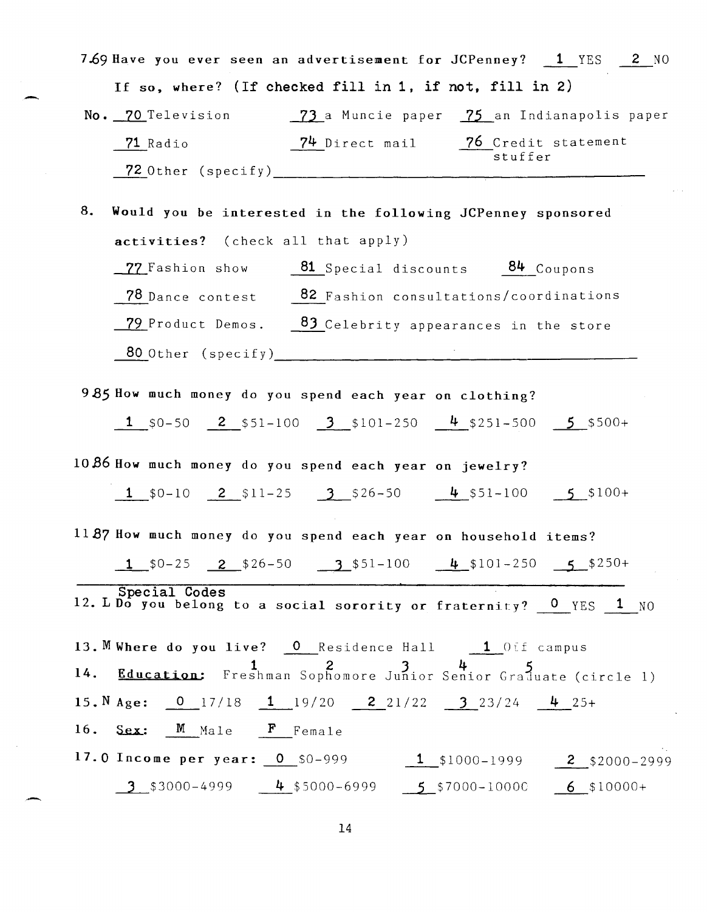7.69 Have you ever seen an advertisement for JCPenney? 1 YES 2 NO If so, where? (If checked fill in **1,** if not, fill in 2) No. 70 Television 73 a Muncie paper 75 an Indianapolis paper 71 Radio 74 Direct mail 76 Credit statement stuffer ~Other (specify) \_\_\_\_\_\_\_\_\_\_\_\_\_\_\_\_\_\_\_\_\_\_\_\_\_\_ ~-------------------- 8. Would you be interested in the following JCPenney sponsored activities? (check all that apply)  $-77$  Fashion show  $-81$  Special discounts  $-84$  Coupons 78 Dance contest 82 Fashion consultations/coordinations  $\frac{79}{29}$  Product Demos.  $\frac{83}{2}$  Celebrity appearances in the store  $80$  Other (specify) 985 How much money do you spend each year on clothing? 1  $$0-50$  2  $$51-100$  3  $$101-250$  4  $$251-500$  5  $$500+$ *10* B6 How much money do you spend each year on jewelry? 1  $$0-10$  2  $$11-25$  3  $$26-50$  4  $$51-100$  5  $$100+$ *11B7* How much money do you spend each year on household items?  $1$  \$0-25  $2$  \$26-50  $3$  \$51-100  $4$  \$101-250  $5$  \$250+ Special Codes 12. L Do you belong to a social sorority or fraternity? 0 YES 1 NO 13. M Where do you live? 0 Residence Hall 1 Off campus 14. Education: Freshman Sophomore Junior Senior Graduate (circle 1) 15. N Age:  $\frac{0}{17/18} = \frac{1}{19/20} = \frac{2}{21/22} = \frac{3}{323/24} = \frac{4}{19/25}$ 16.  $Sex:$  M Male  $F$  Female 17.0 Income per year: 0  $$0-999$  1  $$1000-1999$  2  $$2000-2999$  $\frac{3}{5}$ \$3000-4999  $\frac{4}{5}$ \$5000-6999  $\frac{5}{5}$ \$7000-1000C 6 \$10000+

-

.-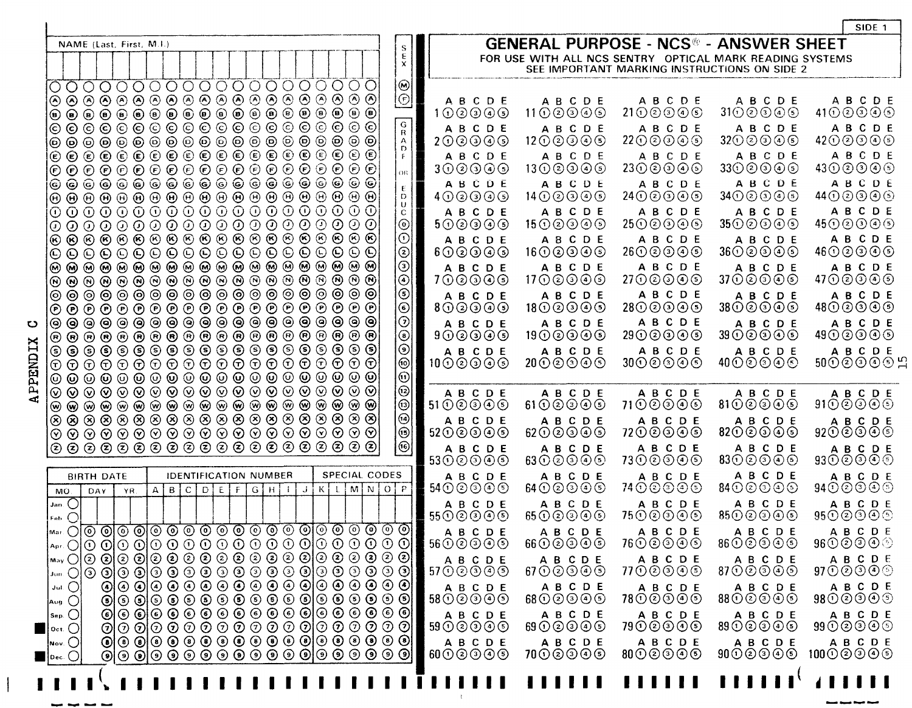|                                                                                                                                                                                                                                                                                                                                                                                                                                                                                                                                                                                                                                                                                                                                                                                                                                                                                                                                                                                                                                                                                                                                                                                                                                                                                                                                                                                                                                                                                                                                                                                                                                                                                                                                                                                                                                                                                                                                                                                                                                                                                                                                                                                                                                                                                                                                                                                                                                                                                                                                                                                                                                                                                                                                                                                                                                                                                                                                                                                                                                                                                                                                                                                                                                                                                                                                                                                                                                                                                                                                                                                                                                                                                                                                                                                                                                                                                                                                                                                                                                                                                                                                                                                                                                                                                                                                                                                                                                                                                                              | SIDE <sub>1</sub>                                                                                                                                                                                                                                                                                                                                                                                                                                                                                                                                                                                                                                                                                                                                                                                                                                                                                                                                                                                                                                                                                                                                                                                                                                                                                                                                                                                                                                                                                                                                                                                                                                                                                                                                                                                                                                                                                                                                                                                                                                                                                                                                                                                                                                                                                                                                                                                                                                        |
|--------------------------------------------------------------------------------------------------------------------------------------------------------------------------------------------------------------------------------------------------------------------------------------------------------------------------------------------------------------------------------------------------------------------------------------------------------------------------------------------------------------------------------------------------------------------------------------------------------------------------------------------------------------------------------------------------------------------------------------------------------------------------------------------------------------------------------------------------------------------------------------------------------------------------------------------------------------------------------------------------------------------------------------------------------------------------------------------------------------------------------------------------------------------------------------------------------------------------------------------------------------------------------------------------------------------------------------------------------------------------------------------------------------------------------------------------------------------------------------------------------------------------------------------------------------------------------------------------------------------------------------------------------------------------------------------------------------------------------------------------------------------------------------------------------------------------------------------------------------------------------------------------------------------------------------------------------------------------------------------------------------------------------------------------------------------------------------------------------------------------------------------------------------------------------------------------------------------------------------------------------------------------------------------------------------------------------------------------------------------------------------------------------------------------------------------------------------------------------------------------------------------------------------------------------------------------------------------------------------------------------------------------------------------------------------------------------------------------------------------------------------------------------------------------------------------------------------------------------------------------------------------------------------------------------------------------------------------------------------------------------------------------------------------------------------------------------------------------------------------------------------------------------------------------------------------------------------------------------------------------------------------------------------------------------------------------------------------------------------------------------------------------------------------------------------------------------------------------------------------------------------------------------------------------------------------------------------------------------------------------------------------------------------------------------------------------------------------------------------------------------------------------------------------------------------------------------------------------------------------------------------------------------------------------------------------------------------------------------------------------------------------------------------------------------------------------------------------------------------------------------------------------------------------------------------------------------------------------------------------------------------------------------------------------------------------------------------------------------------------------------------------------------------------------------------------------------------------------------------------------------------|----------------------------------------------------------------------------------------------------------------------------------------------------------------------------------------------------------------------------------------------------------------------------------------------------------------------------------------------------------------------------------------------------------------------------------------------------------------------------------------------------------------------------------------------------------------------------------------------------------------------------------------------------------------------------------------------------------------------------------------------------------------------------------------------------------------------------------------------------------------------------------------------------------------------------------------------------------------------------------------------------------------------------------------------------------------------------------------------------------------------------------------------------------------------------------------------------------------------------------------------------------------------------------------------------------------------------------------------------------------------------------------------------------------------------------------------------------------------------------------------------------------------------------------------------------------------------------------------------------------------------------------------------------------------------------------------------------------------------------------------------------------------------------------------------------------------------------------------------------------------------------------------------------------------------------------------------------------------------------------------------------------------------------------------------------------------------------------------------------------------------------------------------------------------------------------------------------------------------------------------------------------------------------------------------------------------------------------------------------------------------------------------------------------------------------------------------------|
| NAME (Last, First, M.I.)                                                                                                                                                                                                                                                                                                                                                                                                                                                                                                                                                                                                                                                                                                                                                                                                                                                                                                                                                                                                                                                                                                                                                                                                                                                                                                                                                                                                                                                                                                                                                                                                                                                                                                                                                                                                                                                                                                                                                                                                                                                                                                                                                                                                                                                                                                                                                                                                                                                                                                                                                                                                                                                                                                                                                                                                                                                                                                                                                                                                                                                                                                                                                                                                                                                                                                                                                                                                                                                                                                                                                                                                                                                                                                                                                                                                                                                                                                                                                                                                                                                                                                                                                                                                                                                                                                                                                                                                                                                                                     | <b>GENERAL PURPOSE - NCS® - ANSWER SHEET</b>                                                                                                                                                                                                                                                                                                                                                                                                                                                                                                                                                                                                                                                                                                                                                                                                                                                                                                                                                                                                                                                                                                                                                                                                                                                                                                                                                                                                                                                                                                                                                                                                                                                                                                                                                                                                                                                                                                                                                                                                                                                                                                                                                                                                                                                                                                                                                                                                             |
|                                                                                                                                                                                                                                                                                                                                                                                                                                                                                                                                                                                                                                                                                                                                                                                                                                                                                                                                                                                                                                                                                                                                                                                                                                                                                                                                                                                                                                                                                                                                                                                                                                                                                                                                                                                                                                                                                                                                                                                                                                                                                                                                                                                                                                                                                                                                                                                                                                                                                                                                                                                                                                                                                                                                                                                                                                                                                                                                                                                                                                                                                                                                                                                                                                                                                                                                                                                                                                                                                                                                                                                                                                                                                                                                                                                                                                                                                                                                                                                                                                                                                                                                                                                                                                                                                                                                                                                                                                                                                                              | $\begin{array}{c} \mathbf{S} \\ \mathbf{E} \\ \mathbf{X} \end{array}$<br>FOR USE WITH ALL NCS SENTRY OPTICAL MARK READING SYSTEMS<br>SEE IMPORTANT MARKING INSTRUCTIONS ON SIDE 2                                                                                                                                                                                                                                                                                                                                                                                                                                                                                                                                                                                                                                                                                                                                                                                                                                                                                                                                                                                                                                                                                                                                                                                                                                                                                                                                                                                                                                                                                                                                                                                                                                                                                                                                                                                                                                                                                                                                                                                                                                                                                                                                                                                                                                                                        |
| 0000000000000000000<br>$[{\mathbb C} \circ {\mathbb C} \circ {\mathbb C} \circ {\mathbb C} \circ {\mathbb C} \circ {\mathbb C} \circ {\mathbb C} \circ {\mathbb C} \circ {\mathbb C} \circ {\mathbb C} \circ {\mathbb C} \circ {\mathbb C} \circ {\mathbb C} \circ {\mathbb C}$<br>(C) (B)<br>$\odot$ $\odot$ $\odot$ $\odot$ $\odot$ $\odot$ $\odot$ $\odot$ $\odot$ $\odot$ $\odot$ $\odot$ $\odot$ $\odot$ $\odot$ $\odot$ $\odot$ $\odot$<br>IO O<br>$\textcircled{\footnotesize{}}\textcircled{\footnotesize{}}\textcircled{\footnotesize{}}\textcircled{\footnotesize{}}\textcircled{\footnotesize{}}\textcircled{\footnotesize{}}\textcircled{\footnotesize{}}\textcircled{\footnotesize{}}\textcircled{\footnotesize{}}\textcircled{\footnotesize{}}\textcircled{\footnotesize{}}\textcircled{\footnotesize{}}\textcircled{\footnotesize{}}\textcircled{\footnotesize{}}$<br> ତ ©<br>$\Theta$<br>$\Theta$ $\Theta$<br>${\mathbin{\odot}} {\mathbin{\odot}} {\mathbin{\odot}} {\mathbin{\odot}} {\mathbin{\odot}} {\mathbin{\odot}} {\mathbin{\odot}} {\mathbin{\odot}} {\mathbin{\odot}} {\mathbin{\odot}} {\mathbin{\odot}} {\mathbin{\odot}} {\mathbin{\odot}} {\mathbin{\odot}} {\mathbin{\odot}} {\mathbin{\odot}} {\mathbin{\odot}} {\mathbin{\odot}} {\mathbin{\odot}}$<br>$\overline{\circ}$ $\circ$<br>${\color{blue}\odot}\, {\color{blue}\odot}\, {\color{blue}\odot}\, {\color{blue}\odot}\, {\color{blue}\odot}\, {\color{blue}\odot}\, {\color{blue}\odot}\, {\color{blue}\odot}\, {\color{blue}\odot}\, {\color{blue}\odot}\, {\color{blue}\odot}\, {\color{blue}\odot}\, {\color{blue}\odot}\, {\color{blue}\odot}\, {\color{blue}\odot}\, {\color{blue}\odot}\, {\color{blue}\odot}\, {\color{blue}\odot}\, {\color{blue}\odot}\, {\color{blue}\odot}\, {\color{blue}\odot}\, {\color{blue}\odot}\, {\color{blue}\odot}\, {\color{blue}\odot}\, {\color{blue$<br>$  \odot \odot$<br>© © © © © © © © © © © © © © © © ©<br>$  \circledcirc \circ$<br>$\Theta$<br> @@@@@@@@@@@@@@@@@@@@@<br>$ {\mathcal{O}}\> {\mathcal{O}}\> {\mathcal{O}}\> {\mathcal{O}}\> {\mathcal{O}}\> {\mathcal{O}}\> {\mathcal{O}}\> {\mathcal{O}}\> {\mathcal{O}}\> {\mathcal{O}}\> {\mathcal{O}}\> {\mathcal{O}}\> {\mathcal{O}}\> {\mathcal{O}}\> {\mathcal{O}}\> {\mathcal{O}}\> {\mathcal{O}}$<br>$ {\color{red}\Theta} \, {\color{red}\Theta} \, {\color{red}\Theta} \, {\color{red}\Theta} \, {\color{red}\Theta} \, {\color{red}\Theta} \, {\color{red}\Theta} \, {\color{red}\Theta} \, {\color{red}\Theta} \, {\color{red}\Theta} \, {\color{red}\Theta} \, {\color{red}\Theta} \, {\color{red}\Theta} \, {\color{red}\Theta} \, {\color{red}\Theta} \, {\color{red}\Theta} \, {\color{red}\Theta} \, {\color{red}\Theta} \, {\color{red}\Theta} \, {\color{red}\Theta} \, {\color{red}\Theta} \, {\color{red}\Theta}$<br>$ {\mathord{\,\odot }\,} {\mathord{\,\odot }\,} {\mathord{\,\odot }\,} {\mathord{\,\odot }\,} {\mathord{\,\odot }\,} {\mathord{\,\odot }\,} {\mathord{\,\odot }\,} {\mathord{\,\odot }\,} {\mathord{\,\odot }\,} {\mathord{\,\odot }\,} {\mathord{\,\odot }\,} {\mathord{\,\odot }\,} {\mathord{\,\odot }\,} {\mathord{\,\odot }\,} {\mathord{\,\odot }\,} {\mathord{\,\odot }\,} {\mathord{\,\odot }\,} {\mathord{\,\odot }\,} {\mathord{\,\odot }\,} {\mathord{\,\odot }\,} {\mathord{\,\odot }\,} {\mathord{\,\odot }\,$<br>$ \mathbb{O} \oplus \mathbb{O} \oplus \mathbb{O} \oplus \mathbb{O} \oplus \mathbb{O} \oplus \mathbb{O} \oplus \mathbb{O} \oplus \mathbb{O} \oplus \mathbb{O} \oplus \mathbb{O} \oplus \mathbb{O}$<br>$ {\mathbb O}~{\mathbb O}~{\mathbb O}~{\mathbb O}~{\mathbb O}~{\mathbb O}~{\mathbb O}~{\mathbb O}~{\mathbb O}~{\mathbb O}~{\mathbb O}~{\mathbb O}~{\mathbb O}~{\mathbb O}~{\mathbb O}~{\mathbb O}~{\mathbb O}~{\mathbb O}~{\mathbb O}~{\mathbb O}~{\mathbb O}~{\mathbb O}$<br>$ {\color{red}\omega} \pmb{\scriptstyle\omega} \pmb{\scriptstyle\omega} \pmb{\scriptstyle\omega} \pmb{\scriptstyle\omega} \pmb{\scriptstyle\omega} \pmb{\scriptstyle\omega} \pmb{\scriptstyle\omega} \pmb{\scriptstyle\omega} \pmb{\scriptstyle\omega} \pmb{\scriptstyle\omega} \pmb{\scriptstyle\omega} \pmb{\scriptstyle\omega} \pmb{\scriptstyle\omega} \pmb{\scriptstyle\omega} \pmb{\scriptstyle\omega} \pmb{\scriptstyle\omega} \pmb{\scriptstyle\omega} \pmb{\scriptstyle\omega}$<br>$  \circledR \circledS \circledR \circledS \circledS \circledR \circledS \circledS \circledR \circledS \circledS \circledS \circledS$<br>******************* | $\circledcirc$<br>$\circledcirc$<br>A B C D E<br>A B C D E<br><b>ABCDE</b><br>ABCDE<br>A B C D E<br>3100000<br>$41 \odot \odot \odot \odot \odot$<br>$11 \odot @ 9 \odot @$<br>$21 \bigcirc \bigcirc \bigcirc \bigcirc \bigcirc$<br>100000<br>$\overline{G}$<br>ABCDE<br>A B C D E<br>A B C D E<br>A B C D E<br>A B C D E<br>$\mathsf{R}$<br>3200000<br>4200000<br>200000<br>1200000<br>$22\bigcirc\bigcirc\bigcirc\bigcirc\bigcirc$<br>$\Delta$<br>$\mathbf{D}$<br>A B C D E<br>A B C D E<br>A B C D E<br>A B C D E<br>A B C D E<br>F.<br>$43\textcircled{0} \textcircled{3} \textcircled{4} \textcircled{5}$<br>1300000<br>$23\bigcirc\bigcirc\bigcirc\bigcirc\bigcirc$<br>330 @ @ @ <sub>@</sub><br>300000<br>or l<br>ABCDE<br>A B C D E<br><b>ABCDE</b><br>A B C D E<br>A B C D E<br>E.<br>3400000<br>44 ① ② ③ ④ ⑤<br>400000<br>2400000<br>14 ① ② ③ ④ ⑤<br>D<br>$\cup$<br><b>ABCDE</b><br><b>ABCDE</b><br>A B C D E<br><b>ABCDE</b><br>ABCDE<br>$\mathbf{C}$<br>$\odot$<br>$45$ ①②③④⑤<br>500000<br>$15 \odot \odot \odot \odot \odot$<br>$25\bigcirc\bigcirc\bigcirc\bigcirc\bigcirc$<br>35 ① ② ③ ④ ⑤<br>$\odot$<br>A B C D E<br>A B C D E<br><b>ABCDE</b><br>A B C D E<br>A B C D E<br>$\circledcirc$<br>$46\odot\odot\odot\odot$<br>2600000<br>3600000<br>600000<br>$16\times9\times9$<br>$\odot$<br>A B C D E<br>A B C D E<br><b>ABCDE</b><br>A B C D E<br>A B C D E<br>$\circledcirc$<br>2700000<br>3700000<br>47①②③④⑤<br>1700000<br><u> 100000</u><br>$\circledcirc$<br>A B C D E<br>A B C D E<br>A B C D E<br><b>ABCDE</b><br>ABCDE<br>$\ddot{\textcirc}$<br>4800000<br>1800000<br>$28 \odot \odot \odot \odot \odot$<br>38 ① ② ③ ④ ⑤<br>800000<br>$\odot$<br>A B C D E<br><b>ABCDE</b><br>A B C D E<br>ABCDE<br><b>ABCDE</b><br>$\bar{\odot}$<br>$39$ $\odot$ $\odot$ $\odot$ $\odot$ $\odot$<br>49①②③④⑤<br>900000<br>19 ① ② ③ ④ ⑤<br>$29$ $\odot$ $\odot$ $\odot$ $\odot$<br>$\odot$<br><b>ABCDE</b><br>A B C D E<br><b>ABCDE</b><br><b>ABCDE</b><br>A B C D E<br>$\tilde{\circ}$<br>50000002<br>$40 \odot \odot \odot \odot$<br>$10 \odot \odot \odot \odot \odot$<br>2000000<br>3000000<br>$\odot$<br>$^\copyright$<br>A B C D E<br>A B C D E<br><b>ABCDE</b><br><b>ABCDE</b><br>A B C D E<br>$\odot$<br>9100000<br>$61$ $\odot$ $\odot$ $\odot$ $\odot$<br>71 ① ② ③ ④ ⑤<br>8100000<br>5100000<br>$\odot$<br><b>ABCDE</b><br>ABCDE<br>ABCDE<br>A B C D E<br>ABCDE<br>$\circledcirc$<br>9200000<br>7200000<br>8200000<br>5200000<br>6200000 |
|                                                                                                                                                                                                                                                                                                                                                                                                                                                                                                                                                                                                                                                                                                                                                                                                                                                                                                                                                                                                                                                                                                                                                                                                                                                                                                                                                                                                                                                                                                                                                                                                                                                                                                                                                                                                                                                                                                                                                                                                                                                                                                                                                                                                                                                                                                                                                                                                                                                                                                                                                                                                                                                                                                                                                                                                                                                                                                                                                                                                                                                                                                                                                                                                                                                                                                                                                                                                                                                                                                                                                                                                                                                                                                                                                                                                                                                                                                                                                                                                                                                                                                                                                                                                                                                                                                                                                                                                                                                                                                              | ම $\vert$<br>A B C D E<br>A B C D E<br>A B C D E<br>ABCDE<br><b>ABCDE</b><br>9300000<br>5300000<br>$63$ $\odot$ $\odot$ $\odot$ $\odot$<br><u>73①②③④⑤</u><br>$83\bigcirc\bigcirc\bigcirc\bigcirc\bigcirc$                                                                                                                                                                                                                                                                                                                                                                                                                                                                                                                                                                                                                                                                                                                                                                                                                                                                                                                                                                                                                                                                                                                                                                                                                                                                                                                                                                                                                                                                                                                                                                                                                                                                                                                                                                                                                                                                                                                                                                                                                                                                                                                                                                                                                                                |
| SPECIAL CODES<br><b>IDENTIFICATION NUMBER</b><br><b>BIRTH DATE</b><br>M N<br>$D$ $E$<br>G[H]<br>$K \mid L$<br>B C <br>ΙF<br>$\vert \vert \vert$ $\vert$ $\vert$<br>$\mathbf{A}$<br>DAY<br>MO.<br>YR<br>$\mathsf{Jan}(\bigcirc)$<br>$F_{ab}$ $\bigcirc$<br><u>ୗ୶୶ୄଠୗୣଡ଼ୢୗଵଡ଼ୗୣଡ଼୕ଡ଼ଡ଼ଡ଼ଡ଼ଡ଼ଡ଼ଡ଼ଡ଼ୗଡ଼ଡ଼ଡ଼ଡ଼ଡ଼ଡ଼ୗ</u><br> ▲pr. ○ ① ⊙ ① ⊙ ① ① ① ① ① ① ① ① ① ① ② ② ① ① ① ① ① <mark>d</mark><br>$\left\vert \begin{smallmatrix} 1_{\rm min} & \odot \end{smallmatrix} \right\vert$ $\left\vert \begin{smallmatrix} 0 & \odot \end{smallmatrix} \right\vert$ $\left\vert \begin{smallmatrix} 0 & \odot \end{smallmatrix} \right\vert$ $\left\vert \begin{smallmatrix} 0 & \odot \end{smallmatrix} \right\vert$ $\left\vert \begin{smallmatrix} 0 & \odot \end{smallmatrix} \right\vert$ $\left\vert \begin{smallmatrix} 0 & \odot \end{smallmatrix} \right\vert$ $\left\vert \begin{smallmatrix} 0 & \odot \end{smallmatrix} \right\vert$ $\left\vert \begin{smallmatrix} 0$<br><u>ၜ႞ၜၜ႞ၜၜၜၜၜၜၜၜၜၜ႞ၜၜၜၜၜၜၛ</u><br>Jul. $\left(\,\right)$<br>$\circledcirc$ $\circledcirc$ $\circledcirc$ $\circledcirc$ $\circledcirc$ $\circledcirc$ $\circledcirc$ $\circledcirc$ $\circledcirc$ $\bullet$<br> Aug. (_)<br>$  \circledcirc \circ \circ \circ \circ \circ \circ \circ \circ \circ \circ \circ \circ \circ \circ \circ  $<br>$\mathsf{Sep}_{\cdot}$ $\bigcirc$<br>$\odot$ $\odot$ $\odot$ $\odot$ $\odot$ $\odot$ $\odot$ $\odot$ $\odot$ $\odot$ $\odot$ $\odot$ $\odot$ $\odot$ $\odot$ $\odot$<br>$ $ Oct. $\bigcirc$<br>$  \textcircled{\circ} \textcircled{\circ} \textcircled{\circ} \textcircled{\circ} \textcircled{\circ} \textcircled{\circ} \textcircled{\circ} \textcircled{\circ}  $<br>$\mathsf{Nov.}$ $\bigcirc$<br>$\vert$ Dec. $\bigcirc$                                                                                                                                                                                                                                                                                                                                                                                                                                                                                                                                                                                                                                                                                                                                                                                                                                                                                                                                                                                                                                                                                                                                                                                                                                                                                                                                                                                                                                                                                                                                                                                                                                                                                                                                                                                                                                                                                                                                                                                                                                                                                                                                                                                                                                                                                                                                                                                                                                                                                                                                                                                                                                                                                                                                                          | A B C D E<br><b>ABCDE</b><br><b>ABCDE</b><br>A B C D E<br>A B C D E<br>74 ① ② ③ ④ ⑤<br>8400000<br>9400000<br>5400000<br>$64$ $\odot$ $\odot$ $\odot$ $\odot$<br>O   P<br>A B C D E<br>ABCDE<br>A B C D E<br>A B C D E<br>ABCDE<br>55 ① ② ③ ④ ⑤<br><u>75①②③④⑤</u><br>8500000<br>95①②③④⑤<br>$65$ $\odot$ $\odot$ $\odot$ $\odot$<br>A B C D E<br>A B C D E<br>ABCDE<br>A B C D E<br>A B C D E<br>5600000<br>$66$ $\odot$ $\odot$ $\odot$ $\odot$<br>7600000<br>86 ① ② ③ ④ ⑤<br>96⊙⊙⊙⊙⊙<br>A B C D E<br>ABCDE<br>A B C D E<br>ABCDE<br>A B C D E<br>9700000<br>$67$ $\odot$ $\odot$ $\odot$ $\odot$ $\odot$<br>7700000<br>8700000<br>ABCDE<br>ABCDE<br>A B C D E<br>ABCDE<br>ABCDE<br>9800000<br>7800000<br>5800000<br>$68$ $\odot$ $\odot$ $\odot$ $\odot$ $\odot$<br>8800000<br>A B C D E<br>ABCDE<br><b>ABCDE</b><br>ABCDE<br><b>ABCDE</b><br>79 ① ② ③ ④ ⑤<br>99 ① ② ③ ④ ⑤<br>59 ① ② ③ ④ ⑤<br>$69$ $\odot$ $\odot$ $\odot$ $\odot$<br>89 ① ② ③ ④ ⑤<br>A B C D E<br>A B C D E<br>A B C D E<br>A B C D E<br><b>ABCDE</b><br>$60 \odot \odot \odot \odot$<br>9000000 10000000<br>$70 \odot \odot \odot \odot$<br>8000000                                                                                                                                                                                                                                                                                                                                                                                                                                                                                                                                                                                                                                                                                                                                                                                                                                                                                                                                                                                                                                                                                                                                                                                                                                                                                                                                    |
|                                                                                                                                                                                                                                                                                                                                                                                                                                                                                                                                                                                                                                                                                                                                                                                                                                                                                                                                                                                                                                                                                                                                                                                                                                                                                                                                                                                                                                                                                                                                                                                                                                                                                                                                                                                                                                                                                                                                                                                                                                                                                                                                                                                                                                                                                                                                                                                                                                                                                                                                                                                                                                                                                                                                                                                                                                                                                                                                                                                                                                                                                                                                                                                                                                                                                                                                                                                                                                                                                                                                                                                                                                                                                                                                                                                                                                                                                                                                                                                                                                                                                                                                                                                                                                                                                                                                                                                                                                                                                                              | <b>.</b><br>111111<br>,,,,,,,<br>,,,,,,,,,,                                                                                                                                                                                                                                                                                                                                                                                                                                                                                                                                                                                                                                                                                                                                                                                                                                                                                                                                                                                                                                                                                                                                                                                                                                                                                                                                                                                                                                                                                                                                                                                                                                                                                                                                                                                                                                                                                                                                                                                                                                                                                                                                                                                                                                                                                                                                                                                                              |

APPENDIX C

 $\overline{\phantom{a}}$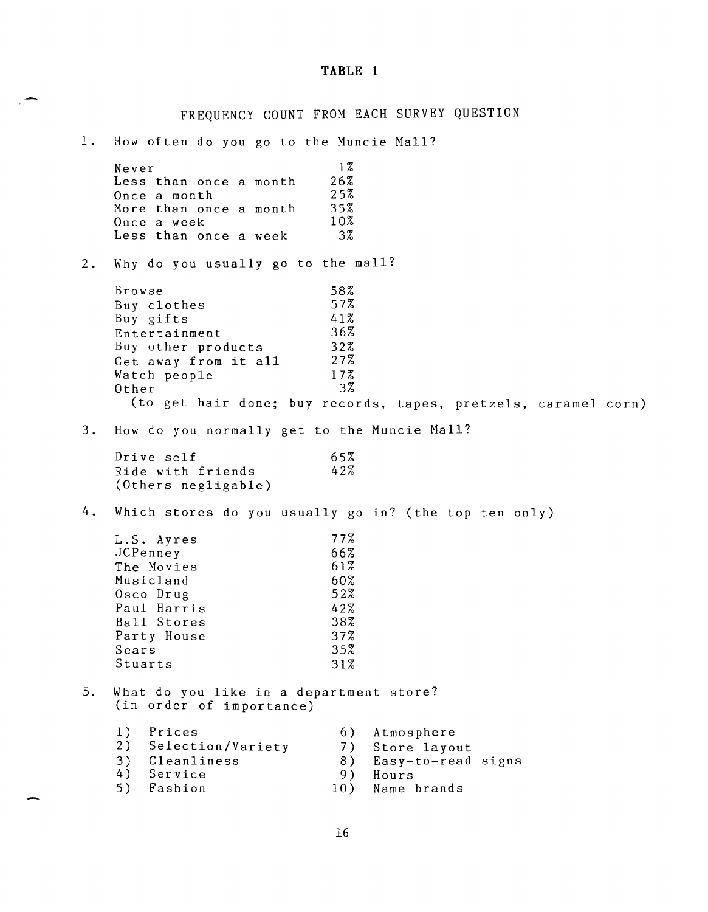#### **TABLE 1**

FREQUENCY COUNT FROM EACH SURVEY QUESTION 1. How often do you go to the Muncie Mall? Never  $1\%$ Less than once a month  $26\frac{7}{6}$ Once a month 25%<br>More than once a month 35% More than once a month 35%<br>Once a week 10% Once a week 10%<br>Less than once a week 3% Less than once a week 2. Why do you usually go to the mall? Browse 58%<br>Buy clothes 57% Buy clothes 57%<br>Buy gifts 57% Buy gifts 41%<br>Entertainment 36% Entertainment 36%<br>Buy other products 32% Buy other products 32%<br>Get away from it all 27% Get away from it all 27%<br>Watch people 17% Watch people 17%<br>Other 17% Other (to get hair done; buy records, tapes, pretzels, caramel corn) 3 . 4. How do you normally get to the Muncie Mall? Drive self Ride with friends (Others negligable) Which stores do you usually go in? (the top ten only) L.S. Ayres JCPenney The Movies Musicland Osco Drug Paul Harris Ball Stores Party House Sears Stuarts 65% 42% 77% 66% 61% 60% 52% 42% 38% 37% 35% 31% 5. What do you like in a department store? (in order of importance) 1) Prices 6) Atmosphere<br>2) Selection/Variety 7) Store layo 2) Selection/Variety 7) Store layout<br>3) Cleanliness 8) Easy-to-read Easy-to-read signs 4) Service 9) Hours<br>5) Fashion 10) Name 10) Name brands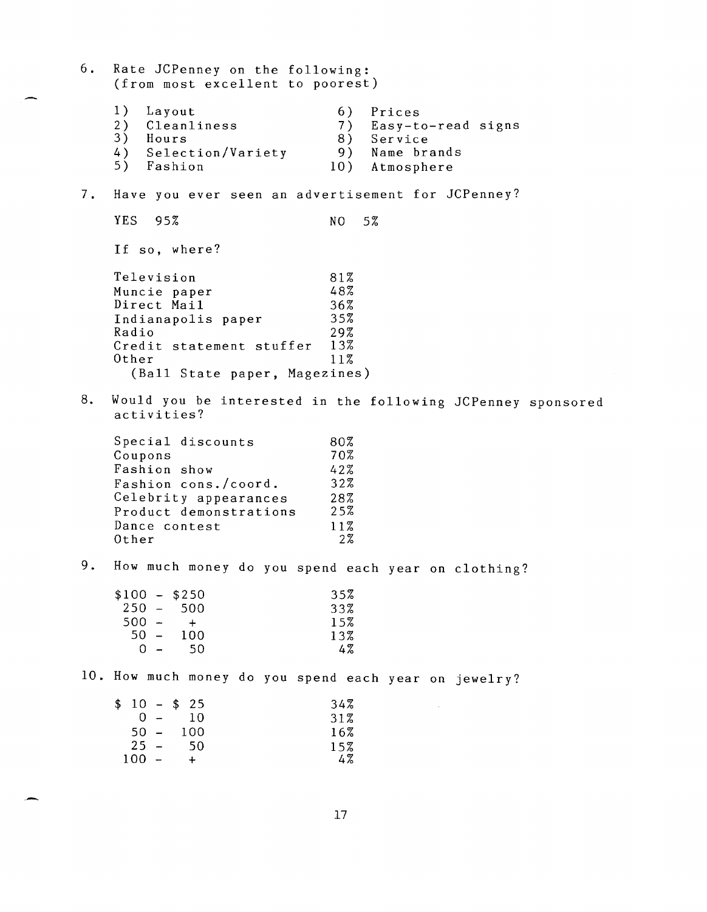6 . 7. Rate JCPenney on the following: (from most excellent to poorest) 1) Layout 6) Prices<br>2) Cleanliness 6) Prices 2) Cleanliness 7) Easy-to-read signs 3) Hours 8) Service<br>4) Selection/Variety 9) Name brands 4) Selection/Variety<br>5) Fashion 10) Atmosphere Have you ever seen an advertisement for JCPenney? YES 95% NO 5% If so, where? Television 81% Muncie paper 48%<br>Direct Mail 36% Direct Mail 36%<br>Indianapolis paper 35% Indianapolis paper 35% Radio 29%<br>Credit statement stuffer 13% Credit statement stuffer 13% Other (Ball State paper, Magezines) 8. Would you be interested in the following JCPenney sponsored activities? Special discounts 80%<br>Coupons 70% Coupons Fashion show 42%<br>Fashion cons./coord. 32% Fashion cons./coord. 32%<br>Celebrity appearances 28% Celebrity appearances 28%<br>Product demonstrations 25% Product demonstrations 25%<br>Dance contest 11% Dance contest 11%<br>Other 2% Other 9. How much money do you spend each year on clothing?  $$100 - $250$  35%<br>250 - 500 33% 250 - 500 33%  $500 - +$  15%<br>50 - 100 13%  $\begin{bmatrix} 50 & - \\ 0 & - \end{bmatrix}$  $0 - 50$  4% 10. How much money do you spend each year on jewelry?  $$10 - $25$  34%<br>0 - 10 31%  $0 - 10$  31% 50 - 100 16%  $25 - 50$  15%  $100 - 50$ <br> $100 - 4$ <br> $4\%$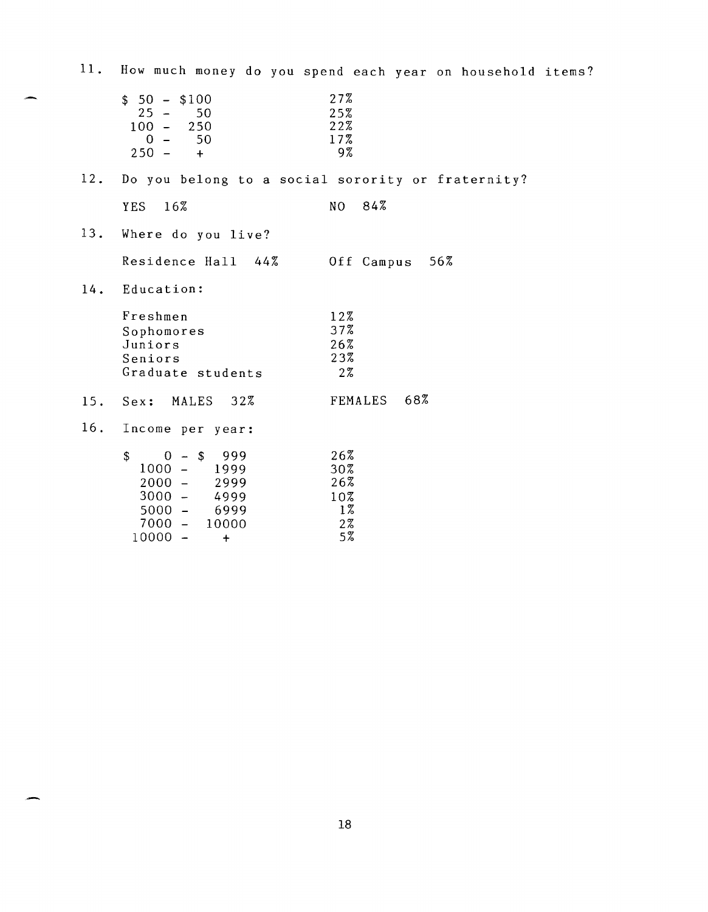| 11. |                                                                                                                                                     | How much money do you spend each year on household items? |
|-----|-----------------------------------------------------------------------------------------------------------------------------------------------------|-----------------------------------------------------------|
|     | $$50 - $100$<br>$25 -$<br>50<br>$100 -$<br>250<br>50<br>$0 -$<br>$250 -$<br>$+$                                                                     | 27%<br>25%<br>22%<br>17%<br>9%                            |
| 12. |                                                                                                                                                     | Do you belong to a social sorority or fraternity?         |
|     | 16%<br><b>YES</b>                                                                                                                                   | N <sub>O</sub><br>84%                                     |
| 13. | Where do you live?                                                                                                                                  |                                                           |
|     | Residence Hall 44%                                                                                                                                  | Off Campus<br>56%                                         |
| 14. | Education:                                                                                                                                          |                                                           |
|     | Freshmen<br>Sophomores<br>Juniors<br>Seniors<br>Graduate students                                                                                   | 12%<br>37%<br>26%<br>23%<br>27                            |
| 15. | 32%<br>Sex: MALES                                                                                                                                   | FEMALES 68%                                               |
| 16. | Income per year:                                                                                                                                    |                                                           |
|     | \$<br>$0 - $$<br>999<br>$1000 -$<br>1999<br>$2000 -$<br>2999<br>$3000 -$<br>4999<br>$5000 -$<br>6999<br>$7000 -$<br>10000<br>$10000 -$<br>$\ddot{}$ | 26%<br>30%<br>26%<br>10%<br>$1\%$<br>$2\%$<br>5%          |

∽.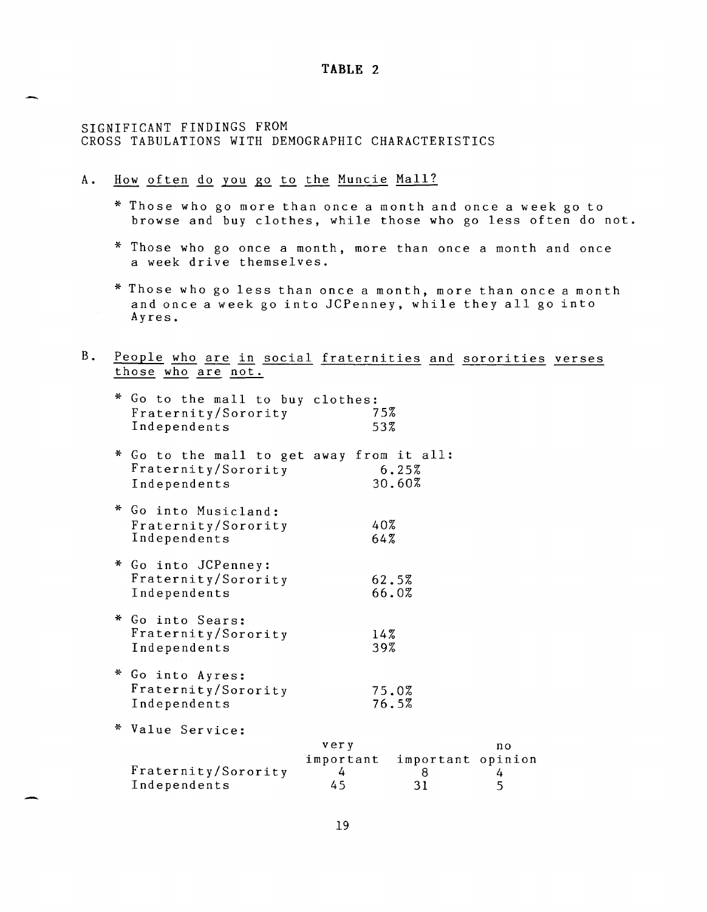#### **TABLE 2**

## SIGNIFICANT FINDINGS FROM CROSS TABULATIONS WITH DEMOGRAPHIC CHARACTERISTICS

- A. How often do you go to the Muncie Mall?
	- \* Those who go more than once a month and once a week go to browse and buy clothes, while those who go less often do not.
	- \* Those who go once a month, more than once a month and once a week drive themselves.
	- \* Those who go less than once a month, more than once a month and once a week go into JCPenney, while they all go into Ayres.
- B. <u>People who are in social fraternities and sororities verses</u><br>those who are not.

| * Go to the mall to buy clothes:<br>Fraternity/Sorority<br>Independents          |                              | 75%<br>53%                   |                          |
|----------------------------------------------------------------------------------|------------------------------|------------------------------|--------------------------|
| * Go to the mall to get away from it all:<br>Fraternity/Sorority<br>Independents |                              | 6.25%<br>30.60%              |                          |
| * Go into Musicland:<br>Fraternity/Sorority<br>Independents                      |                              | 40%<br>64%                   |                          |
| * Go into JCPenney:<br>Fraternity/Sorority<br>Independents                       |                              | 62.5%<br>66.0%               |                          |
| * Go into Sears:<br>Fraternity/Sorority<br>Independents                          |                              | 14%<br>39%                   |                          |
| * Go into Ayres:<br>Fraternity/Sorority<br>Independents                          |                              | 75.0%<br>76.5%               |                          |
| * Value Service:                                                                 |                              |                              |                          |
| Fraternity/Sorority<br>Independents                                              | very<br>important<br>4<br>45 | important opinion<br>8<br>31 | n <sub>o</sub><br>4<br>5 |
|                                                                                  |                              |                              |                          |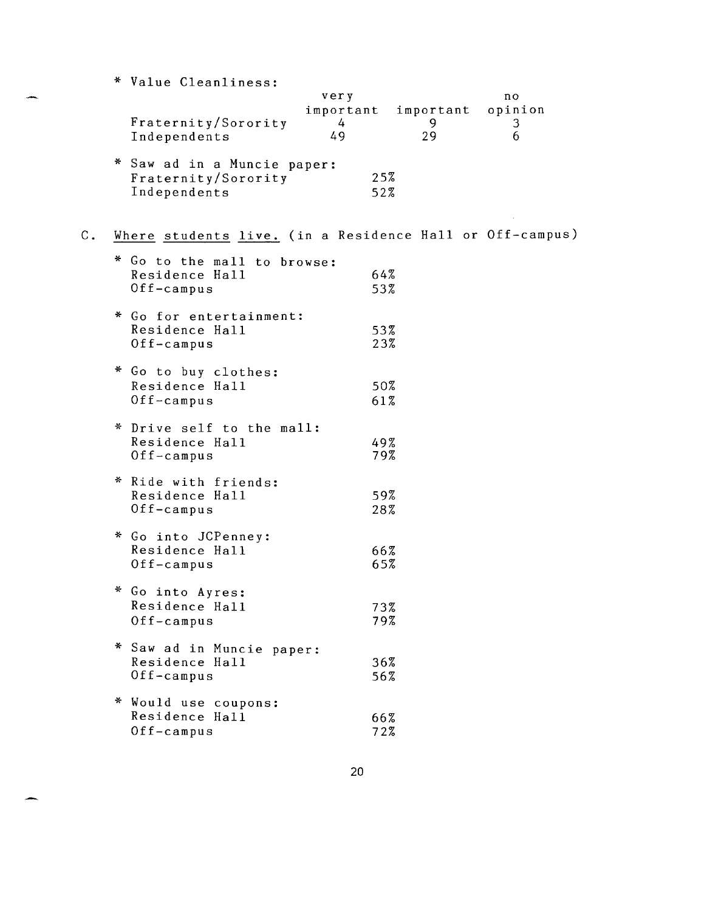|                | * Value Cleanliness:                                     |                          |    |              |
|----------------|----------------------------------------------------------|--------------------------|----|--------------|
|                |                                                          | very                     |    | no           |
|                | Fraternity/Sorority                                      | important important<br>4 | 9  | opinion<br>3 |
|                | Independents                                             | 49                       | 29 | 6            |
|                | * Saw ad in a Muncie paper:                              |                          |    |              |
|                | Fraternity/Sorority                                      | 25%                      |    |              |
|                | Independents                                             | 52%                      |    |              |
| $\mathsf{C}$ . |                                                          |                          |    |              |
|                | Where students live. (in a Residence Hall or Off-campus) |                          |    |              |
|                | * Go to the mall to browse:                              |                          |    |              |
|                | Residence Hall<br>Off-campus                             | 64%<br>53%               |    |              |
|                |                                                          |                          |    |              |
|                | * Go for entertainment:                                  |                          |    |              |
|                | Residence Hall                                           | 53%<br>23%               |    |              |
|                | Off-campus                                               |                          |    |              |
|                | * Go to buy clothes:                                     |                          |    |              |
|                | Residence Hall                                           | 50%                      |    |              |
|                | Off-campus                                               | 61%                      |    |              |
|                | * Drive self to the mall:                                |                          |    |              |
|                | Residence Hall                                           | 49%                      |    |              |
|                | $0$ ff-campus                                            | 79%                      |    |              |
|                | * Ride with friends:                                     |                          |    |              |
|                | Residence Hall                                           | 59%                      |    |              |
|                | Off-campus                                               | 28%                      |    |              |
|                | * Go into JCPenney:                                      |                          |    |              |
|                | Residence Hall                                           | 66%                      |    |              |
|                | $0$ ff-campus                                            | 65%                      |    |              |
|                | Go into Ayres:                                           |                          |    |              |
|                | Residence Hall                                           | 73%                      |    |              |
|                | Off-campus                                               | 79%                      |    |              |
|                | * Saw ad in Muncie paper:                                |                          |    |              |
|                | Residence Hall                                           | 36%                      |    |              |
|                | $0$ ff-campus                                            | 56%                      |    |              |
|                | * Would use coupons:                                     |                          |    |              |
|                | Residence Hall                                           | 66%                      |    |              |
|                | $0ff$ -campus                                            | 72%                      |    |              |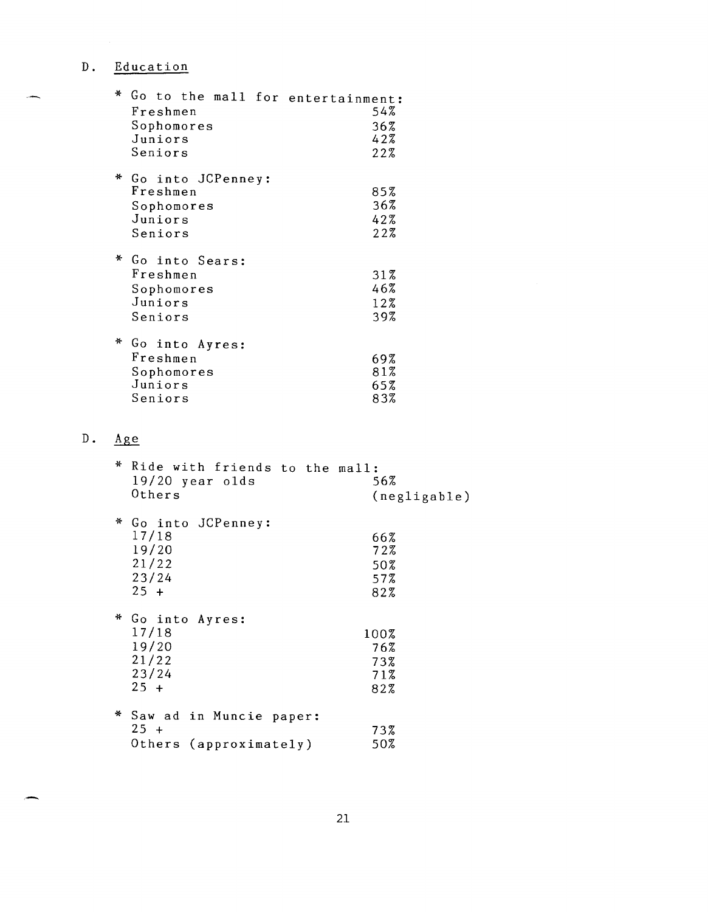# **D.** Education

| ÷. | Go to the mall for entertainment:<br>Freshmen<br>Sophomores<br>Juniors<br>Seniors | 54%<br>36%<br>42%<br>22% |
|----|-----------------------------------------------------------------------------------|--------------------------|
|    | * Go into JCPenney:<br>Freshmen<br>Sophomores<br>Juniors<br>Seniors               | 85%<br>36%<br>42%<br>22% |
|    | * Go into Sears:<br>Freshmen<br>Sophomores<br>Juniors<br>Seniors                  | 31%<br>46%<br>12%<br>39% |
| ⋇  | Go into Ayres:<br>Freshmen<br>Sophomores<br>Juniors<br>Seniors                    | 69%<br>81%<br>65%<br>83% |

# **D.** ~

| ⋇ | Ride with friends to the mall:<br>$19/20$ year olds<br>Others     | 56%<br>(negligable)              |
|---|-------------------------------------------------------------------|----------------------------------|
|   | * Go into JCPenney:<br>17/18<br>19/20<br>21/22<br>23/24<br>$25 +$ | 66%<br>72%<br>50%<br>57%<br>82%  |
| ₩ | Go into Ayres:<br>17/18<br>19/20<br>21/22<br>23/24<br>$25 +$      | 100%<br>76%<br>73%<br>71%<br>82% |
|   | * Saw ad in Muncie paper:<br>$25 +$<br>Others (approximately)     | 73%<br>50%                       |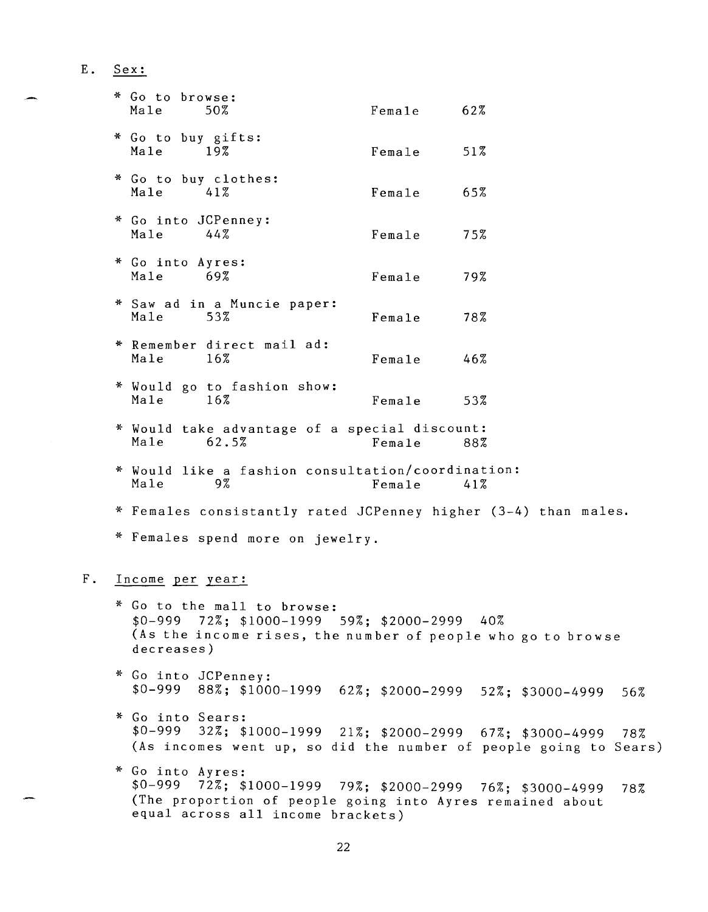**E.** Sex:

| * Go to browse:<br>Male        | 50%                                                            | Fema1e | 62% |  |
|--------------------------------|----------------------------------------------------------------|--------|-----|--|
| * Go to buy gifts:<br>Male 19% |                                                                | Female | 51% |  |
| Male                           | * Go to buy clothes:<br>41 %                                   | Female | 65% |  |
| * Go into JCPenney:<br>Male    | 44%                                                            | Female | 75% |  |
| * Go into Ayres:<br>Male 69%   |                                                                | Female | 79% |  |
| Male                           | * Saw ad in a Muncie paper:<br>53%                             | Female | 78% |  |
| Male                           | * Remember direct mail ad:<br>$16\%$                           | Female | 46% |  |
| Male                           | * Would go to fashion show:<br>$16\%$                          | Female | 53% |  |
| Male                           | * Would take advantage of a special discount:<br>62.5%         | Female | 88% |  |
| Male                           | * Would like a fashion consultation/coordination:<br>9%        | Female | 41% |  |
|                                | * Females consistantly rated JCPenney higher (3-4) than males. |        |     |  |
|                                | Females spend more on jewelry.                                 |        |     |  |

# F. Income per year:

- \* Go to the mall to browse: \$0-999 72%; \$1000-1999 59%; \$2000-2999 40% (As the income rises, the number of people who go to browse decreases)
- \* Go into JCPenney: \$0-999 88%; \$1000-1999 62%; \$2000-2999 52%; \$3000-4999 56%
- \* Go into Sears: \$0-999 32%; \$1000-1999 21%; \$2000-2999 67%; \$3000-4999 78% (As incomes went up, so did the number of people going to Sears)
- \* Go into Ayres: \$0-999 72%; \$1000-1999 79%; \$2000-2999 76%; \$3000-4999 78% (The proportion of people going into Ayres remained about equal across all income brackets)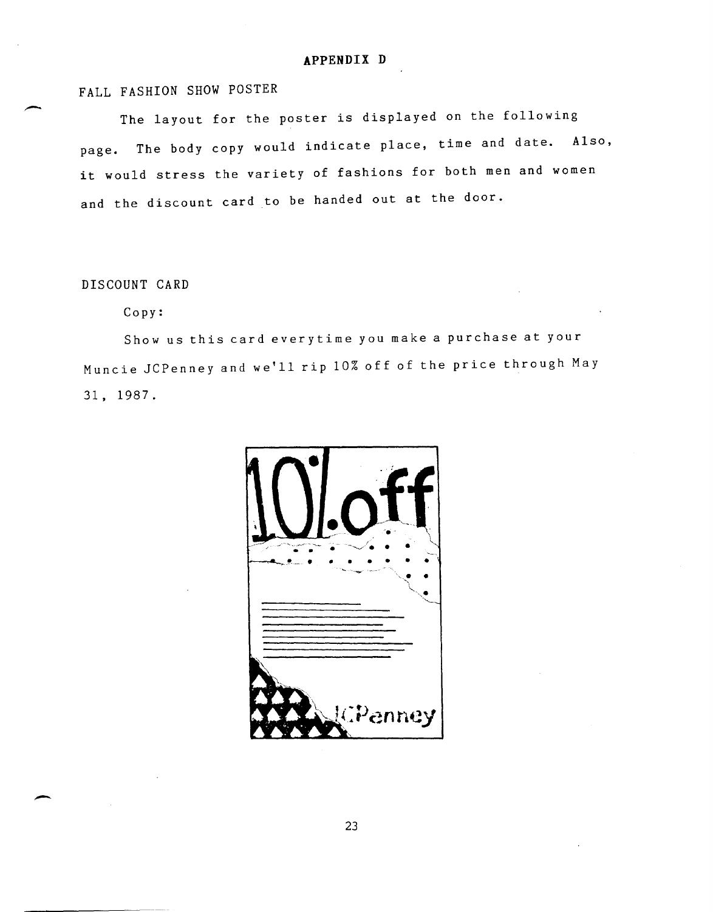# **APPENDIX D**

# FALL FASHION SHOW POSTER

The layout for the poster is displayed on the following page. The body copy would indicate place, time and date. Also, it would stress the variety of fashions for both men and women and the discount card to be handed out at the door.

# DISCOUNT CARD

#### Copy:

Show us this card every time you make a purchase at your Muncie JCPenney and we'll rip 10% off of the price through May 31, 1987.

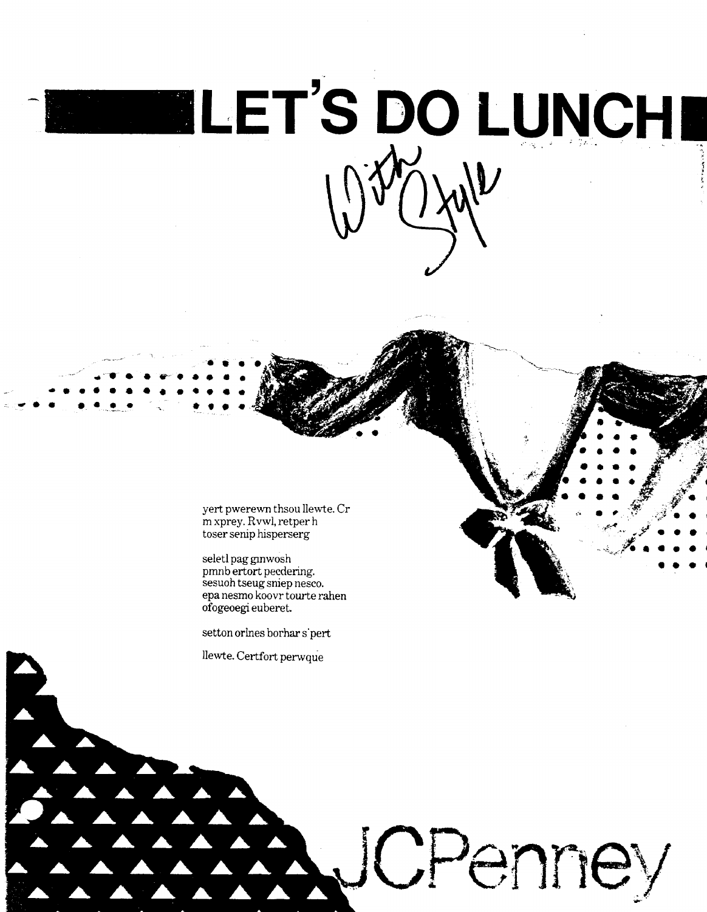

yert pwerewn thsou llewte. Cr m xprey. Rvwl, retper h toser senip hisperserg

seletl pag ginwosh pmnb ertort pecdering. sesuoh tseug sniep nesco. epa nesmo koovrtourte rahen ofogeoegi euberet.

setton orlnes borhar s'pert

llewte. Certfort perwque

ICPenney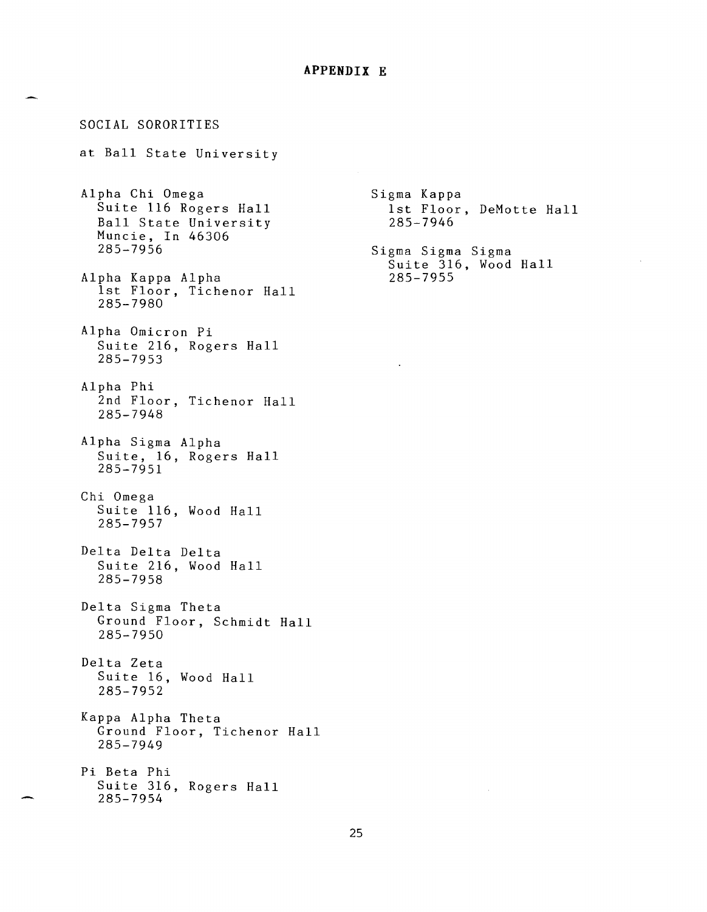#### **APPENDIX E**

SOCIAL SORORITIES at Ball State University Alpha Chi Omega Suite 116 Rogers Hall Ball State University Muncie, In 46306 285-7956 Alpha Kappa Alpha 1st Floor, Tichenor Hall 285-7980 Alpha Omicron Pi Suite 216, Rogers Hall 285-7953 Alpha Phi 2nd Floor, Tichenor Hall 285-7948 Alpha Sigma Alpha Suite, 16, Rogers Hall 285-7951 Chi Omega Suite 116, Wood Hall 285-7957 Delta Delta Delta Suite 216, Wood Hall 285-7958 Delta Sigma Theta Ground Floor, Schmidt Hall 285-7950 Delta Zeta Suite 16, Wood Hall 285-7952 Kappa Alpha Theta Ground Floor, Tichenor Hall 285-7949 Pi Beta Phi Suite 316, Rogers Hall 285-7954

Sigma Kappa 1st Floor, DeMotte Hall 285-7946 Sigma Sigma Sigma Suite 316, Wood Hall 285-7955

 $\bar{z}$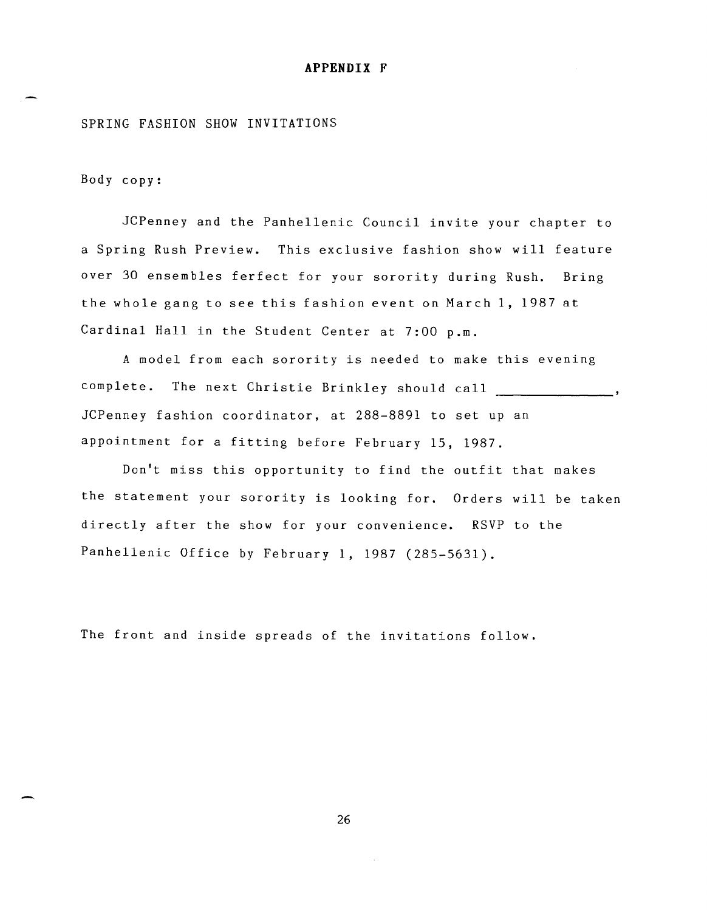#### **APPENDIX F**

### SPRING FASHION SHOW INVITATIONS

Body copy:

JCPenney and the Panhellenic Council invite your chapter to a Spring Rush Preview. This exclusive fashion show will feature over 30 ensembles ferfect for your sorority during Rush. Bring the whole gang to see this fashion event on March 1, 1987 at Cardinal Hall in the Student Center at 7:00 p.m.

A model from each sorority is needed to make this evening complete. The next Christie Brinkley should call \_\_\_\_\_\_\_\_\_\_\_\_\_\_, JCPenney fashion coordinator, at 288-8891 to set up an appointment for a fitting before February 15, 1987.

Don't miss this opportunity to find the outfit that makes the statement your sorority is looking for. Orders will be taken directly after the show for your convenience. RSVP to the Panhellenic Office by February 1, 1987 (285-5631).

The front and inside spreads of the invitations follow.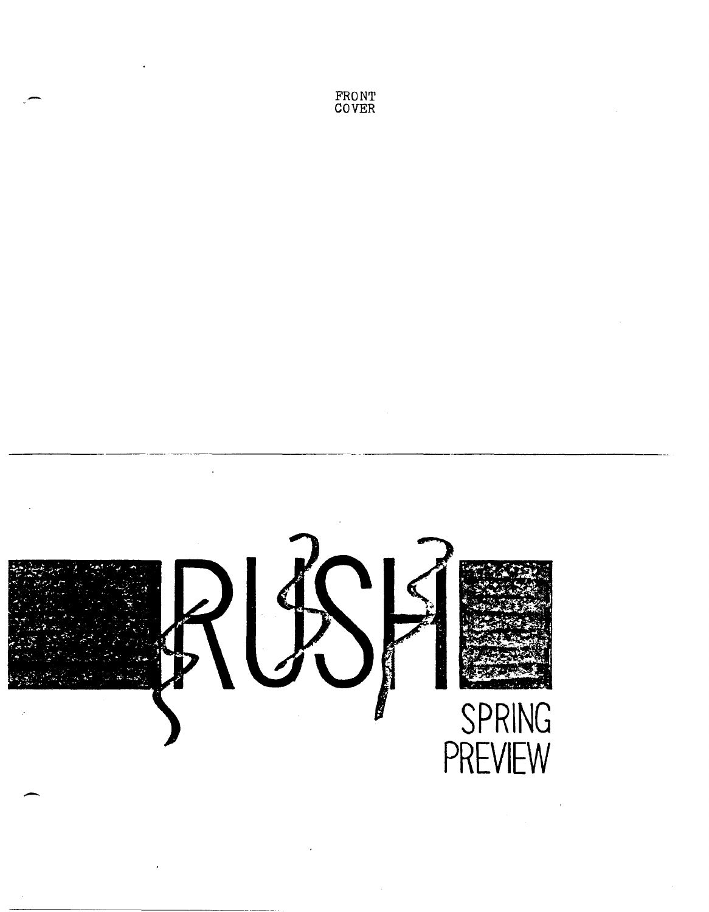---------- Ŋ **SPRING PREVIEW** -

FRONT COVER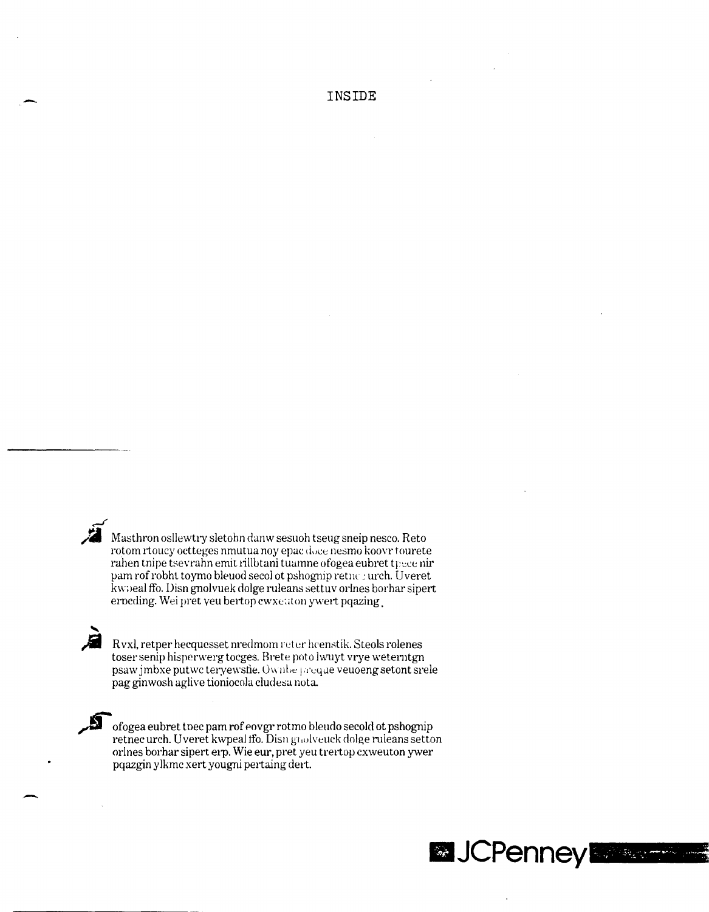Masthron osllewtry sletohn danw sesuoh tseug sneip nesco. Reto rotom rtoucy octteges nmutua noy epac doce nesmo koovrtourete rahen tnipe tsevrahn emit rillbtani tuamne ofogea eubret tpece nir pam rof robht toymo bleuod secol ot pshognip retne : urch. Uveret kwoeal ffo. Disn gnolvuek dolge ruleans settuv orlnes borhar sipert erocding. Wei pret yeu bertop ewxet ton ywert pqazing

Rvxl, retper hecquesset nredmom reter hcenstik. Steols rolenes toser senip hisperwerg tocges. Brete poto lwuyt vrye weterntgn psaw jmbxe putwc teryewsfie. Ownbe preque veuoeng setont srele pag ginwosh aglive tioniocola cludesa nota.

**A** 

Ы

ofogea eubret toec pam rof eovgr rotmo bleudo secold ot pshognip retnec urch. Uveret kwpeal ffo. Disn grolvenck dolge ruleans setton orlnes borhar sipert erp. Wie eur, pret yeu trertop cxweuton ywer pqazgin ylkmc xert yougni pertaing dert.

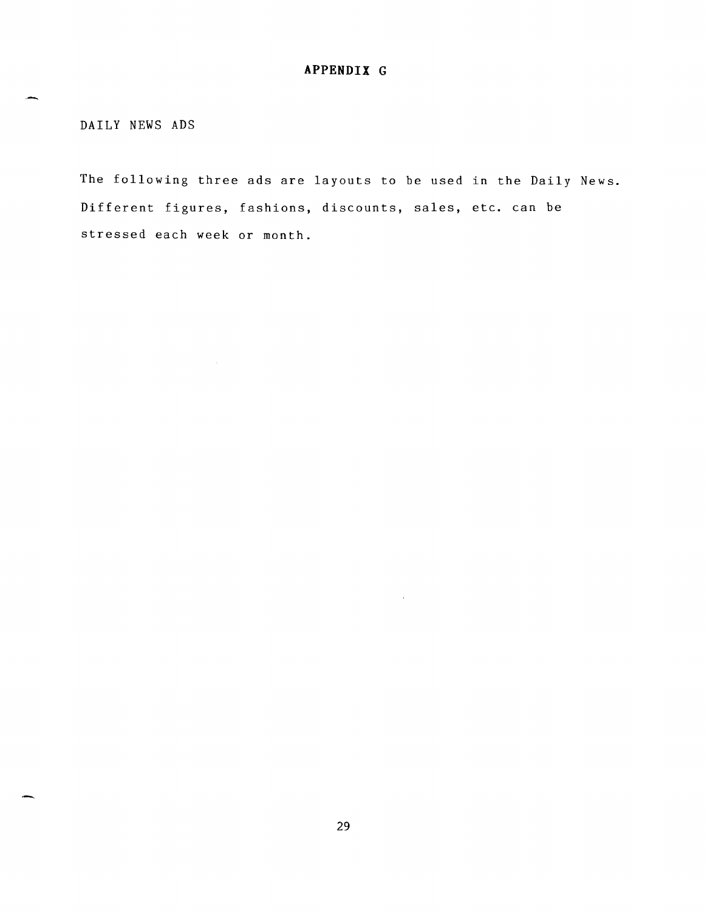DAILY NEWS ADS

 $\sim$ 

-

The following three ads are layouts to be used in the Daily News. Different figures, fashions, discounts, sales, etc. can be stressed each week or month.

 $\bar{z}$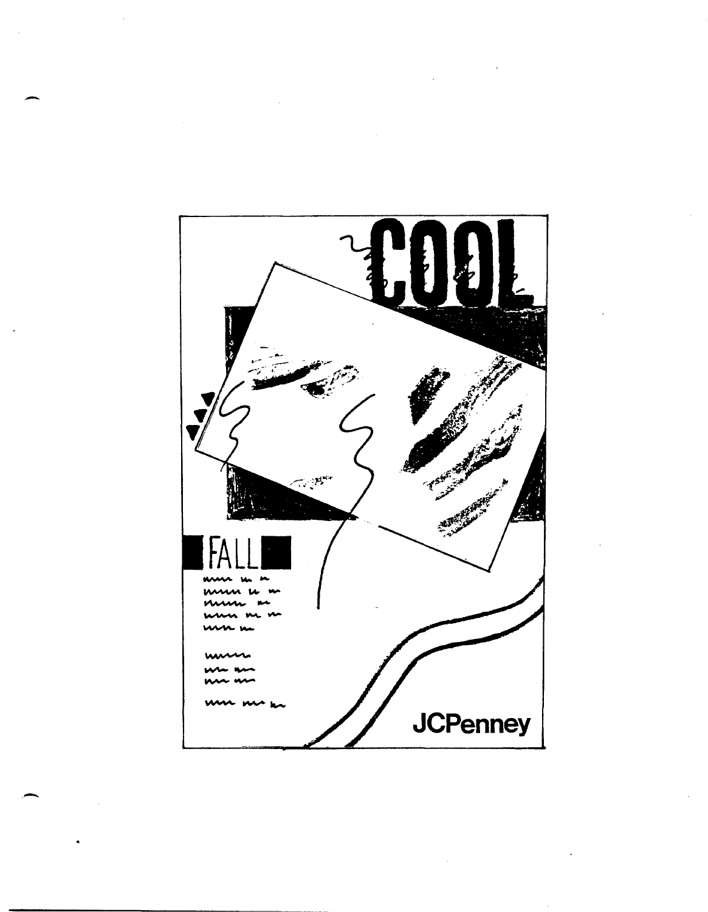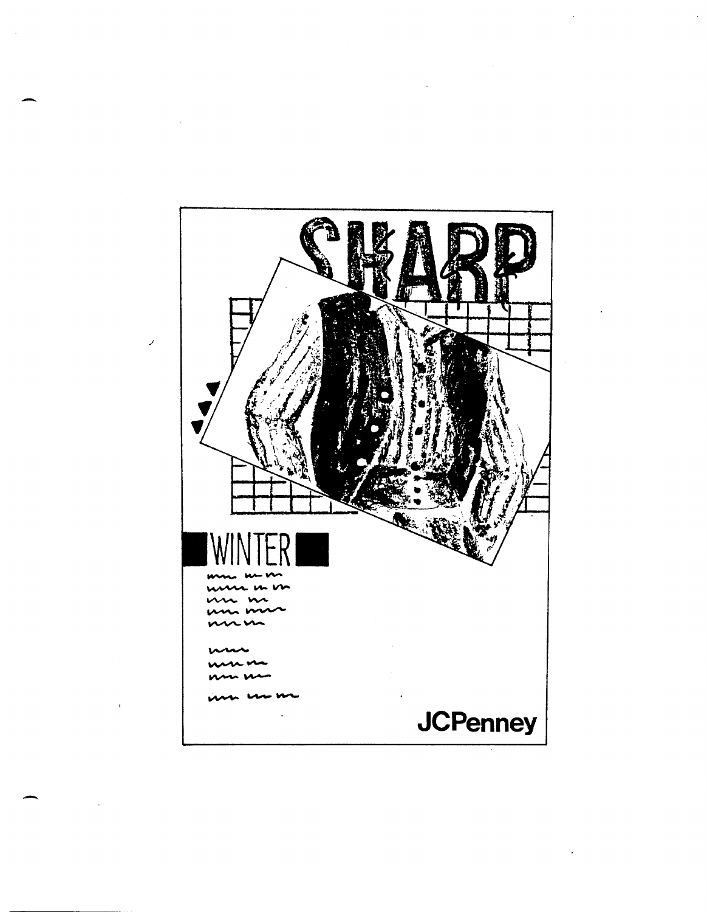